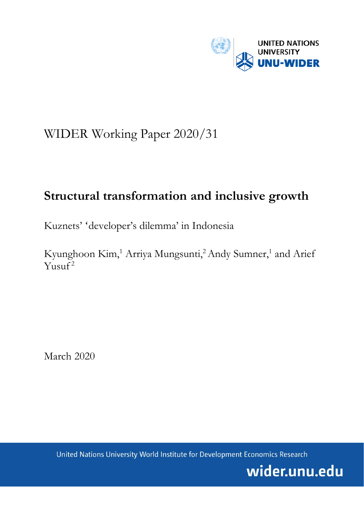

# WIDER Working Paper 2020/31

# **Structural transformation and inclusive growth**

Kuznets' 'developer's dilemma' in Indonesia

Kyunghoon Kim,<sup>1</sup> Arriya Mungsunti,<sup>2</sup> Andy Sumner,<sup>1</sup> and Arief  $Y$ usuf<sup>2</sup>

March 2020

United Nations University World Institute for Development Economics Research

wider.unu.edu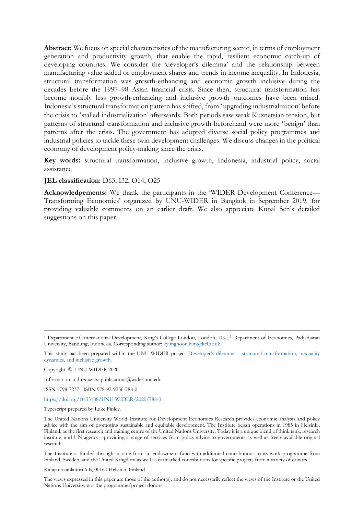**Abstract:** We focus on special characteristics of the manufacturing sector, in terms of employment generation and productivity growth, that enable the rapid, resilient economic catch-up of developing countries. We consider the 'developer's dilemma' and the relationship between manufacturing value added or employment shares and trends in income inequality. In Indonesia, structural transformation was growth-enhancing and economic growth inclusive during the decades before the 1997–98 Asian financial crisis. Since then, structural transformation has become notably less growth-enhancing and inclusive growth outcomes have been mixed. Indonesia's structural transformation pattern has shifted, from 'upgrading industrialization' before the crisis to 'stalled industrialization' afterwards. Both periods saw weak Kuznetsian tension, but patterns of structural transformation and inclusive growth beforehand were more 'benign' than patterns after the crisis. The government has adopted diverse social policy programmes and industrial policies to tackle these twin development challenges. We discuss changes in the political economy of development policy-making since the crisis.

**Key words:** structural transformation, inclusive growth, Indonesia, industrial policy, social assistance

#### **JEL classification:** D63, I32, O14, O25

**Acknowledgements:** We thank the participants in the 'WIDER Development Conference— Transforming Economies' organized by UNU-WIDER in Bangkok in September 2019, for providing valuable comments on an earlier draft. We also appreciate Kunal Sen's detailed suggestions on this paper.

Information and requests: publications@wider.unu.edu

ISSN 1798-7237 ISBN 978-92-9256-788-0

<https://doi.org/10.35188/UNU-WIDER/2020/788-0>

Typescript prepared by Luke Finley.

The Institute is funded through income from an endowment fund with additional contributions to its work programme from Finland, Sweden, and the United Kingdom as well as earmarked contributions for specific projects from a variety of donors.

Katajanokanlaituri 6 B, 00160 Helsinki, Finland

The views expressed in this paper are those of the author(s), and do not necessarily reflect the views of the Institute or the United Nations University, nor the programme/project donors.

<sup>1</sup> Department of International Development, King's College London, London, UK; 2 Department of Economics, Padjadjaran University, Bandung, Indonesia. Corresponding author[: kyunghoon.kim@kcl.ac.uk.](mailto:kyunghoon.kim@kcl.ac.uk)

This study has been prepared within the UNU-WIDER project Developer's dilemma – [structural transformation, inequality](https://www.wider.unu.edu/node/237411)  [dynamics, and inclusive growth.](https://www.wider.unu.edu/node/237411)

Copyright © UNU-WIDER 2020

The United Nations University World Institute for Development Economics Research provides economic analysis and policy advice with the aim of promoting sustainable and equitable development. The Institute began operations in 1985 in Helsinki, Finland, as the first research and training centre of the United Nations University. Today it is a unique blend of think tank, research institute, and UN agency—providing a range of services from policy advice to governments as well as freely available original research.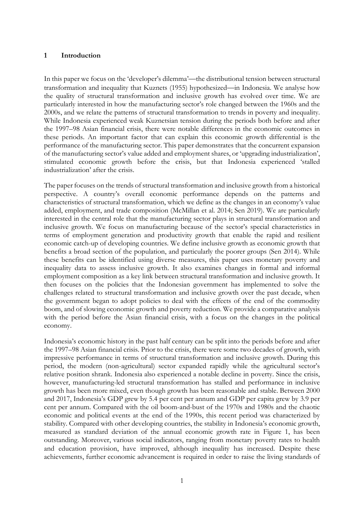#### **1 Introduction**

In this paper we focus on the 'developer's dilemma'—the distributional tension between structural transformation and inequality that Kuznets (1955) hypothesized—in Indonesia. We analyse how the quality of structural transformation and inclusive growth has evolved over time. We are particularly interested in how the manufacturing sector's role changed between the 1960s and the 2000s, and we relate the patterns of structural transformation to trends in poverty and inequality. While Indonesia experienced weak Kuznetsian tension during the periods both before and after the 1997–98 Asian financial crisis, there were notable differences in the economic outcomes in these periods. An important factor that can explain this economic growth differential is the performance of the manufacturing sector. This paper demonstrates that the concurrent expansion of the manufacturing sector's value added and employment shares, or 'upgrading industrialization', stimulated economic growth before the crisis, but that Indonesia experienced 'stalled industrialization' after the crisis.

The paper focuses on the trends of structural transformation and inclusive growth from a historical perspective. A country's overall economic performance depends on the patterns and characteristics of structural transformation, which we define as the changes in an economy's value added, employment, and trade composition (McMillan et al. 2014; Sen 2019). We are particularly interested in the central role that the manufacturing sector plays in structural transformation and inclusive growth. We focus on manufacturing because of the sector's special characteristics in terms of employment generation and productivity growth that enable the rapid and resilient economic catch-up of developing countries. We define inclusive growth as economic growth that benefits a broad section of the population, and particularly the poorer groups (Sen 2014). While these benefits can be identified using diverse measures, this paper uses monetary poverty and inequality data to assess inclusive growth. It also examines changes in formal and informal employment composition as a key link between structural transformation and inclusive growth. It then focuses on the policies that the Indonesian government has implemented to solve the challenges related to structural transformation and inclusive growth over the past decade, when the government began to adopt policies to deal with the effects of the end of the commodity boom, and of slowing economic growth and poverty reduction. We provide a comparative analysis with the period before the Asian financial crisis, with a focus on the changes in the political economy.

Indonesia's economic history in the past half century can be split into the periods before and after the 1997–98 Asian financial crisis. Prior to the crisis, there were some two decades of growth, with impressive performance in terms of structural transformation and inclusive growth. During this period, the modern (non-agricultural) sector expanded rapidly while the agricultural sector's relative position shrank. Indonesia also experienced a notable decline in poverty. Since the crisis, however, manufacturing-led structural transformation has stalled and performance in inclusive growth has been more mixed, even though growth has been reasonable and stable. Between 2000 and 2017, Indonesia's GDP grew by 5.4 per cent per annum and GDP per capita grew by 3.9 per cent per annum. Compared with the oil boom-and-bust of the 1970s and 1980s and the chaotic economic and political events at the end of the 1990s, this recent period was characterized by stability. Compared with other developing countries, the stability in Indonesia's economic growth, measured as standard deviation of the annual economic growth rate in Figure 1, has been outstanding. Moreover, various social indicators, ranging from monetary poverty rates to health and education provision, have improved, although inequality has increased. Despite these achievements, further economic advancement is required in order to raise the living standards of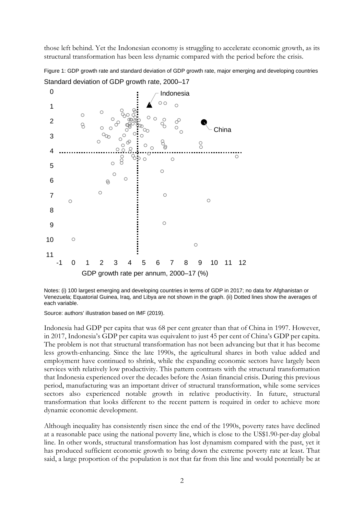those left behind. Yet the Indonesian economy is struggling to accelerate economic growth, as its structural transformation has been less dynamic compared with the period before the crisis.

Figure 1: GDP growth rate and standard deviation of GDP growth rate, major emerging and developing countries



Standard deviation of GDP growth rate, 2000–17

Notes: (i) 100 largest emerging and developing countries in terms of GDP in 2017; no data for Afghanistan or Venezuela; Equatorial Guinea, Iraq, and Libya are not shown in the graph. (ii) Dotted lines show the averages of each variable.

Source: authors' illustration based on IMF (2019).

Indonesia had GDP per capita that was 68 per cent greater than that of China in 1997. However, in 2017, Indonesia's GDP per capita was equivalent to just 45 per cent of China's GDP per capita. The problem is not that structural transformation has not been advancing but that it has become less growth-enhancing. Since the late 1990s, the agricultural shares in both value added and employment have continued to shrink, while the expanding economic sectors have largely been services with relatively low productivity. This pattern contrasts with the structural transformation that Indonesia experienced over the decades before the Asian financial crisis. During this previous period, manufacturing was an important driver of structural transformation, while some services sectors also experienced notable growth in relative productivity. In future, structural transformation that looks different to the recent pattern is required in order to achieve more dynamic economic development.

Although inequality has consistently risen since the end of the 1990s, poverty rates have declined at a reasonable pace using the national poverty line, which is close to the US\$1.90-per-day global line. In other words, structural transformation has lost dynamism compared with the past, yet it has produced sufficient economic growth to bring down the extreme poverty rate at least. That said, a large proportion of the population is not that far from this line and would potentially be at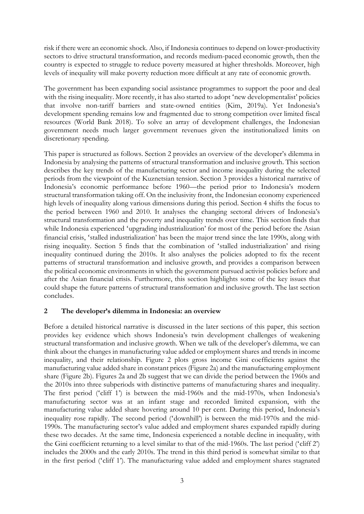risk if there were an economic shock. Also, if Indonesia continues to depend on lower-productivity sectors to drive structural transformation, and records medium-paced economic growth, then the country is expected to struggle to reduce poverty measured at higher thresholds. Moreover, high levels of inequality will make poverty reduction more difficult at any rate of economic growth.

The government has been expanding social assistance programmes to support the poor and deal with the rising inequality. More recently, it has also started to adopt 'new developmentalist' policies that involve non-tariff barriers and state-owned entities (Kim, 2019a). Yet Indonesia's development spending remains low and fragmented due to strong competition over limited fiscal resources (World Bank 2018). To solve an array of development challenges, the Indonesian government needs much larger government revenues given the institutionalized limits on discretionary spending.

This paper is structured as follows. Section 2 provides an overview of the developer's dilemma in Indonesia by analysing the patterns of structural transformation and inclusive growth. This section describes the key trends of the manufacturing sector and income inequality during the selected periods from the viewpoint of the Kuznetsian tension. Section 3 provides a historical narrative of Indonesia's economic performance before 1960—the period prior to Indonesia's modern structural transformation taking off. On the inclusivity front, the Indonesian economy experienced high levels of inequality along various dimensions during this period. Section 4 shifts the focus to the period between 1960 and 2010. It analyses the changing sectoral drivers of Indonesia's structural transformation and the poverty and inequality trends over time. This section finds that while Indonesia experienced 'upgrading industrialization' for most of the period before the Asian financial crisis, 'stalled industrialization' has been the major trend since the late 1990s, along with rising inequality. Section 5 finds that the combination of 'stalled industrialization' and rising inequality continued during the 2010s. It also analyses the policies adopted to fix the recent patterns of structural transformation and inclusive growth, and provides a comparison between the political economic environments in which the government pursued activist policies before and after the Asian financial crisis. Furthermore, this section highlights some of the key issues that could shape the future patterns of structural transformation and inclusive growth. The last section concludes.

## **2 The developer's dilemma in Indonesia: an overview**

Before a detailed historical narrative is discussed in the later sections of this paper, this section provides key evidence which shows Indonesia's twin development challenges of weakening structural transformation and inclusive growth. When we talk of the developer's dilemma, we can think about the changes in manufacturing value added or employment shares and trends in income inequality, and their relationship. Figure 2 plots gross income Gini coefficients against the manufacturing value added share in constant prices (Figure 2a) and the manufacturing employment share (Figure 2b). Figures 2a and 2b suggest that we can divide the period between the 1960s and the 2010s into three subperiods with distinctive patterns of manufacturing shares and inequality. The first period ('cliff 1') is between the mid-1960s and the mid-1970s, when Indonesia's manufacturing sector was at an infant stage and recorded limited expansion, with the manufacturing value added share hovering around 10 per cent. During this period, Indonesia's inequality rose rapidly. The second period ('downhill') is between the mid-1970s and the mid-1990s. The manufacturing sector's value added and employment shares expanded rapidly during these two decades. At the same time, Indonesia experienced a notable decline in inequality, with the Gini coefficient returning to a level similar to that of the mid-1960s. The last period ('cliff 2') includes the 2000s and the early 2010s. The trend in this third period is somewhat similar to that in the first period ('cliff 1'). The manufacturing value added and employment shares stagnated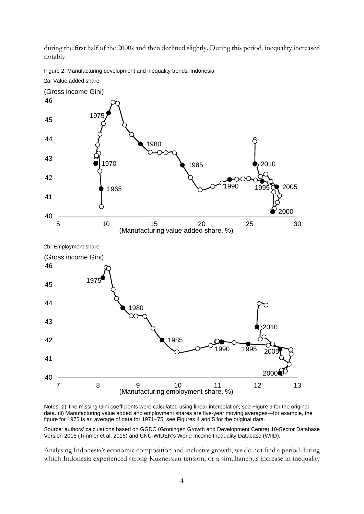during the first half of the 2000s and then declined slightly. During this period, inequality increased notably.





Notes: (i) The missing Gini coefficients were calculated using linear interpolation; see Figure 9 for the original data. (ii) Manufacturing value added and employment shares are five-year moving averages—for example, the figure for 1975 is an average of data for 1971–75; see Figures 4 and 5 for the original data.

Source: authors' calculations based on GGDC (Groningen Growth and Development Centre) 10-Sector Database Version 2015 (Timmer et al. 2015) and UNU-WIDER's World Income Inequality Database (WIID).

Analysing Indonesia's economic composition and inclusive growth, we do not find a period during which Indonesia experienced strong Kuznetsian tension, or a simultaneous increase in inequality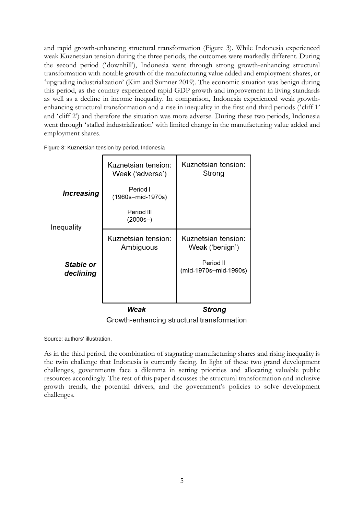and rapid growth-enhancing structural transformation (Figure 3). While Indonesia experienced weak Kuznetsian tension during the three periods, the outcomes were markedly different. During the second period ('downhill'), Indonesia went through strong growth-enhancing structural transformation with notable growth of the manufacturing value added and employment shares, or 'upgrading industrialization' (Kim and Sumner 2019). The economic situation was benign during this period, as the country experienced rapid GDP growth and improvement in living standards as well as a decline in income inequality. In comparison, Indonesia experienced weak growthenhancing structural transformation and a rise in inequality in the first and third periods ('cliff 1' and 'cliff 2') and therefore the situation was more adverse. During these two periods, Indonesia went through 'stalled industrialization' with limited change in the manufacturing value added and employment shares.

|                        | Kuznetsian tension:<br>Weak ('adverse')    | Kuznetsian tension:<br>Strong          |
|------------------------|--------------------------------------------|----------------------------------------|
| <b>Increasing</b>      | Period I<br>(1960s-mid-1970s)              |                                        |
| Inequality             | Period III<br>$(2000s-)$                   |                                        |
|                        | Kuznetsian tension:<br>Ambiguous           | Kuznetsian tension:<br>Weak ('benign') |
| Stable or<br>declining |                                            | Period II<br>(mid-1970s-mid-1990s)     |
|                        |                                            |                                        |
|                        | Weak                                       | <b>Strong</b>                          |
|                        | Growth-enhancing structural transformation |                                        |

Figure 3: Kuznetsian tension by period, Indonesia

Source: authors' illustration.

As in the third period, the combination of stagnating manufacturing shares and rising inequality is the twin challenge that Indonesia is currently facing. In light of these two grand development challenges, governments face a dilemma in setting priorities and allocating valuable public resources accordingly. The rest of this paper discusses the structural transformation and inclusive growth trends, the potential drivers, and the government's policies to solve development challenges.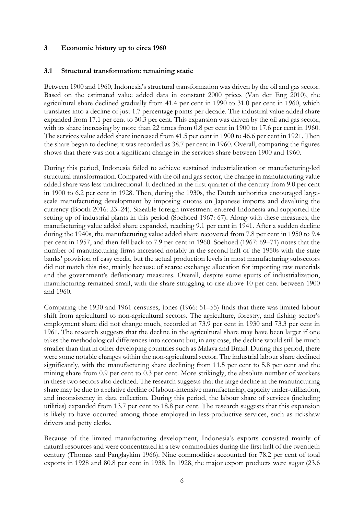### **3 Economic history up to circa 1960**

#### **3.1 Structural transformation: remaining static**

Between 1900 and 1960, Indonesia's structural transformation was driven by the oil and gas sector. Based on the estimated value added data in constant 2000 prices (Van der Eng 2010), the agricultural share declined gradually from 41.4 per cent in 1990 to 31.0 per cent in 1960, which translates into a decline of just 1.7 percentage points per decade. The industrial value added share expanded from 17.1 per cent to 30.3 per cent. This expansion was driven by the oil and gas sector, with its share increasing by more than 22 times from 0.8 per cent in 1900 to 17.6 per cent in 1960. The services value added share increased from 41.5 per cent in 1900 to 46.6 per cent in 1921. Then the share began to decline; it was recorded as 38.7 per cent in 1960. Overall, comparing the figures shows that there was not a significant change in the services share between 1900 and 1960.

During this period, Indonesia failed to achieve sustained industrialization or manufacturing-led structural transformation. Compared with the oil and gas sector, the change in manufacturing value added share was less unidirectional. It declined in the first quarter of the century from 9.0 per cent in 1900 to 6.2 per cent in 1928. Then, during the 1930s, the Dutch authorities encouraged largescale manufacturing development by imposing quotas on Japanese imports and devaluing the currency (Booth 2016: 23–24). Sizeable foreign investment entered Indonesia and supported the setting up of industrial plants in this period (Soehoed 1967: 67). Along with these measures, the manufacturing value added share expanded, reaching 9.1 per cent in 1941. After a sudden decline during the 1940s, the manufacturing value added share recovered from 7.8 per cent in 1950 to 9.4 per cent in 1957, and then fell back to 7.9 per cent in 1960. Soehoed (1967: 69–71) notes that the number of manufacturing firms increased notably in the second half of the 1950s with the state banks' provision of easy credit, but the actual production levels in most manufacturing subsectors did not match this rise, mainly because of scarce exchange allocation for importing raw materials and the government's deflationary measures. Overall, despite some spurts of industrialization, manufacturing remained small, with the share struggling to rise above 10 per cent between 1900 and 1960.

Comparing the 1930 and 1961 censuses, Jones (1966: 51–55) finds that there was limited labour shift from agricultural to non-agricultural sectors. The agriculture, forestry, and fishing sector's employment share did not change much, recorded at 73.9 per cent in 1930 and 73.3 per cent in 1961. The research suggests that the decline in the agricultural share may have been larger if one takes the methodological differences into account but, in any case, the decline would still be much smaller than that in other developing countries such as Malaya and Brazil. During this period, there were some notable changes within the non-agricultural sector. The industrial labour share declined significantly, with the manufacturing share declining from 11.5 per cent to 5.8 per cent and the mining share from 0.9 per cent to 0.3 per cent. More strikingly, the absolute number of workers in these two sectors also declined. The research suggests that the large decline in the manufacturing share may be due to a relative decline of labour-intensive manufacturing, capacity under-utilization, and inconsistency in data collection. During this period, the labour share of services (including utilities) expanded from 13.7 per cent to 18.8 per cent. The research suggests that this expansion is likely to have occurred among those employed in less-productive services, such as rickshaw drivers and petty clerks.

Because of the limited manufacturing development, Indonesia's exports consisted mainly of natural resources and were concentrated in a few commodities during the first half of the twentieth century (Thomas and Panglaykim 1966). Nine commodities accounted for 78.2 per cent of total exports in 1928 and 80.8 per cent in 1938. In 1928, the major export products were sugar (23.6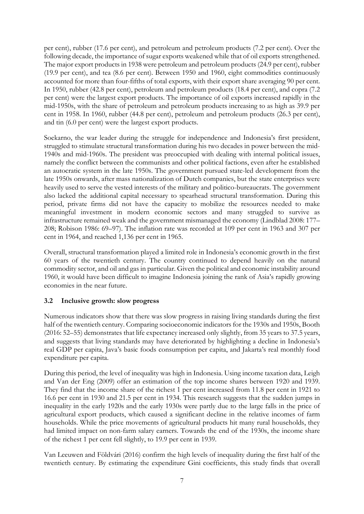per cent), rubber (17.6 per cent), and petroleum and petroleum products (7.2 per cent). Over the following decade, the importance of sugar exports weakened while that of oil exports strengthened. The major export products in 1938 were petroleum and petroleum products (24.9 per cent), rubber (19.9 per cent), and tea (8.6 per cent). Between 1950 and 1960, eight commodities continuously accounted for more than four-fifths of total exports, with their export share averaging 90 per cent. In 1950, rubber (42.8 per cent), petroleum and petroleum products (18.4 per cent), and copra (7.2 per cent) were the largest export products. The importance of oil exports increased rapidly in the mid-1950s, with the share of petroleum and petroleum products increasing to as high as 39.9 per cent in 1958. In 1960, rubber (44.8 per cent), petroleum and petroleum products (26.3 per cent), and tin (6.0 per cent) were the largest export products.

Soekarno, the war leader during the struggle for independence and Indonesia's first president, struggled to stimulate structural transformation during his two decades in power between the mid-1940s and mid-1960s. The president was preoccupied with dealing with internal political issues, namely the conflict between the communists and other political factions, even after he established an autocratic system in the late 1950s. The government pursued state-led development from the late 1950s onwards, after mass nationalization of Dutch companies, but the state enterprises were heavily used to serve the vested interests of the military and politico-bureaucrats. The government also lacked the additional capital necessary to spearhead structural transformation. During this period, private firms did not have the capacity to mobilize the resources needed to make meaningful investment in modern economic sectors and many struggled to survive as infrastructure remained weak and the government mismanaged the economy (Lindblad 2008: 177– 208; Robison 1986: 69–97). The inflation rate was recorded at 109 per cent in 1963 and 307 per cent in 1964, and reached 1,136 per cent in 1965.

Overall, structural transformation played a limited role in Indonesia's economic growth in the first 60 years of the twentieth century. The country continued to depend heavily on the natural commodity sector, and oil and gas in particular. Given the political and economic instability around 1960, it would have been difficult to imagine Indonesia joining the rank of Asia's rapidly growing economies in the near future.

# **3.2 Inclusive growth: slow progress**

Numerous indicators show that there was slow progress in raising living standards during the first half of the twentieth century. Comparing socioeconomic indicators for the 1930s and 1950s, Booth (2016: 52–55) demonstrates that life expectancy increased only slightly, from 35 years to 37.5 years, and suggests that living standards may have deteriorated by highlighting a decline in Indonesia's real GDP per capita, Java's basic foods consumption per capita, and Jakarta's real monthly food expenditure per capita.

During this period, the level of inequality was high in Indonesia. Using income taxation data, Leigh and Van der Eng (2009) offer an estimation of the top income shares between 1920 and 1939. They find that the income share of the richest 1 per cent increased from 11.8 per cent in 1921 to 16.6 per cent in 1930 and 21.5 per cent in 1934. This research suggests that the sudden jumps in inequality in the early 1920s and the early 1930s were partly due to the large falls in the price of agricultural export products, which caused a significant decline in the relative incomes of farm households. While the price movements of agricultural products hit many rural households, they had limited impact on non-farm salary earners. Towards the end of the 1930s, the income share of the richest 1 per cent fell slightly, to 19.9 per cent in 1939.

Van Leeuwen and Földvári (2016) confirm the high levels of inequality during the first half of the twentieth century. By estimating the expenditure Gini coefficients, this study finds that overall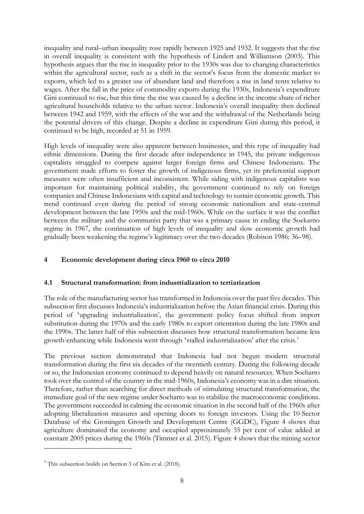inequality and rural–urban inequality rose rapidly between 1925 and 1932. It suggests that the rise in overall inequality is consistent with the hypothesis of Lindert and Williamson (2003). This hypothesis argues that the rise in inequality prior to the 1930s was due to changing characteristics within the agricultural sector, such as a shift in the sector's focus from the domestic market to exports, which led to a greater use of abundant land and therefore a rise in land rents relative to wages. After the fall in the price of commodity exports during the 1930s, Indonesia's expenditure Gini continued to rise, but this time the rise was caused by a decline in the income share of richer agricultural households relative to the urban sector. Indonesia's overall inequality then declined between 1942 and 1959, with the effects of the war and the withdrawal of the Netherlands being the potential drivers of this change. Despite a decline in expenditure Gini during this period, it continued to be high, recorded at 51 in 1959.

High levels of inequality were also apparent between businesses, and this type of inequality had ethnic dimensions. During the first decade after independence in 1945, the private indigenous capitalists struggled to compete against larger foreign firms and Chinese Indonesians. The government made efforts to foster the growth of indigenous firms, yet its preferential support measures were often insufficient and inconsistent. While siding with indigenous capitalists was important for maintaining political stability, the government continued to rely on foreign companies and Chinese Indonesians with capital and technology to sustain economic growth. This trend continued even during the period of strong economic nationalism and state-centred development between the late 1950s and the mid-1960s. While on the surface it was the conflict between the military and the communist party that was a primary cause in ending the Soekarno regime in 1967, the continuation of high levels of inequality and slow economic growth had gradually been weakening the regime's legitimacy over the two decades (Robison 1986: 36–98).

# **4 Economic development during circa 1960 to circa 2010**

## **4.1 Structural transformation: from industrialization to tertiarization**

The role of the manufacturing sector has transformed in Indonesia over the past five decades. This subsection first discusses Indonesia's industrialization before the Asian financial crisis. During this period of 'upgrading industrialization', the government policy focus shifted from import substitution during the 1970s and the early 1980s to export orientation during the late 1980s and the 1990s. The latter half of this subsection discusses how structural transformation became less growth-enhancing while Indonesia went through 'stalled industrialization' after the crisis.<sup>[1](#page-9-0)</sup>

The previous section demonstrated that Indonesia had not begun modern structural transformation during the first six decades of the twentieth century. During the following decade or so, the Indonesian economy continued to depend heavily on natural resources. When Soeharto took over the control of the country in the mid-1960s, Indonesia's economy was in a dire situation. Therefore, rather than searching for direct methods of stimulating structural transformation, the immediate goal of the new regime under Soeharto was to stabilize the macroeconomic conditions. The government succeeded in calming the economic situation in the second half of the 1960s after adopting liberalization measures and opening doors to foreign investors. Using the 10-Sector Database of the Groningen Growth and Development Centre (GGDC), Figure 4 shows that agriculture dominated the economy and occupied approximately 35 per cent of value added at constant 2005 prices during the 1960s (Timmer et al. 2015). Figure 4 shows that the mining sector

<span id="page-9-0"></span> $1$  This subsection builds on Section 3 of Kim et al. (2018).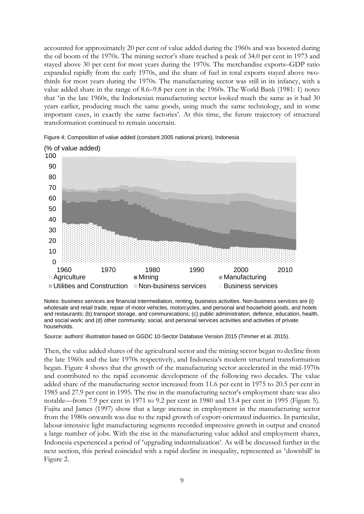accounted for approximately 20 per cent of value added during the 1960s and was boosted during the oil boom of the 1970s. The mining sector's share reached a peak of 34.0 per cent in 1973 and stayed above 30 per cent for most years during the 1970s. The merchandise exports–GDP ratio expanded rapidly from the early 1970s, and the share of fuel in total exports stayed above twothirds for most years during the 1970s. The manufacturing sector was still in its infancy, with a value added share in the range of 8.6–9.8 per cent in the 1960s. The World Bank (1981: 1) notes that 'in the late 1960s, the Indonesian manufacturing sector looked much the same as it had 30 years earlier, producing much the same goods, using much the same technology, and in some important cases, in exactly the same factories'. At this time, the future trajectory of structural transformation continued to remain uncertain.



Figure 4: Composition of value added (constant 2005 national prices), Indonesia

Notes: business services are financial intermediation, renting, business activities. Non-business services are (i) wholesale and retail trade, repair of motor vehicles, motorcycles, and personal and household goods, and hotels and restaurants; (b) transport storage, and communications; (c) public administration, defence, education, health, and social work; and (d) other community, social, and personal services activities and activities of private households.

Source: authors' illustration based on GGDC 10-Sector Database Version 2015 (Timmer et al. 2015).

Then, the value added shares of the agricultural sector and the mining sector began to decline from the late 1960s and the late 1970s respectively, and Indonesia's modern structural transformation began. Figure 4 shows that the growth of the manufacturing sector accelerated in the mid-1970s and contributed to the rapid economic development of the following two decades. The value added share of the manufacturing sector increased from 11.6 per cent in 1975 to 20.5 per cent in 1985 and 27.9 per cent in 1995. The rise in the manufacturing sector's employment share was also notable—from 7.9 per cent in 1971 to 9.2 per cent in 1980 and 13.4 per cent in 1995 (Figure 5). Fujita and James (1997) show that a large increase in employment in the manufacturing sector from the 1980s onwards was due to the rapid growth of export-orientated industries. In particular, labour-intensive light manufacturing segments recorded impressive growth in output and created a large number of jobs. With the rise in the manufacturing value added and employment shares, Indonesia experienced a period of 'upgrading industrialization'. As will be discussed further in the next section, this period coincided with a rapid decline in inequality, represented as 'downhill' in Figure 2.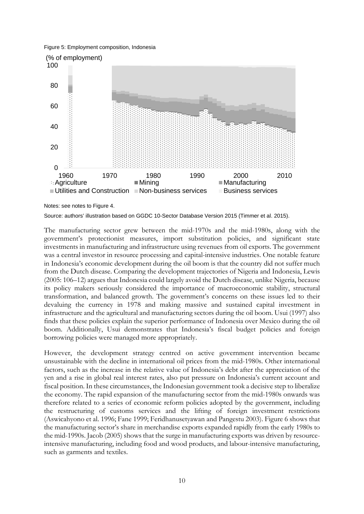Figure 5: Employment composition, Indonesia



Notes: see notes to Figure 4.

Source: authors' illustration based on GGDC 10-Sector Database Version 2015 (Timmer et al. 2015).

The manufacturing sector grew between the mid-1970s and the mid-1980s, along with the government's protectionist measures, import substitution policies, and significant state investments in manufacturing and infrastructure using revenues from oil exports. The government was a central investor in resource processing and capital-intensive industries. One notable feature in Indonesia's economic development during the oil boom is that the country did not suffer much from the Dutch disease. Comparing the development trajectories of Nigeria and Indonesia, Lewis (2005: 106–12) argues that Indonesia could largely avoid the Dutch disease, unlike Nigeria, because its policy makers seriously considered the importance of macroeconomic stability, structural transformation, and balanced growth. The government's concerns on these issues led to their devaluing the currency in 1978 and making massive and sustained capital investment in infrastructure and the agricultural and manufacturing sectors during the oil boom. Usui (1997) also finds that these policies explain the superior performance of Indonesia over Mexico during the oil boom. Additionally, Usui demonstrates that Indonesia's fiscal budget policies and foreign borrowing policies were managed more appropriately.

However, the development strategy centred on active government intervention became unsustainable with the decline in international oil prices from the mid-1980s. Other international factors, such as the increase in the relative value of Indonesia's debt after the appreciation of the yen and a rise in global real interest rates, also put pressure on Indonesia's current account and fiscal position. In these circumstances, the Indonesian government took a decisive step to liberalize the economy. The rapid expansion of the manufacturing sector from the mid-1980s onwards was therefore related to a series of economic reform policies adopted by the government, including the restructuring of customs services and the lifting of foreign investment restrictions (Aswicahyono et al. 1996; Fane 1999; Feridhanusetyawan and Pangestu 2003). Figure 6 shows that the manufacturing sector's share in merchandise exports expanded rapidly from the early 1980s to the mid-1990s. Jacob (2005) shows that the surge in manufacturing exports was driven by resourceintensive manufacturing, including food and wood products, and labour-intensive manufacturing, such as garments and textiles.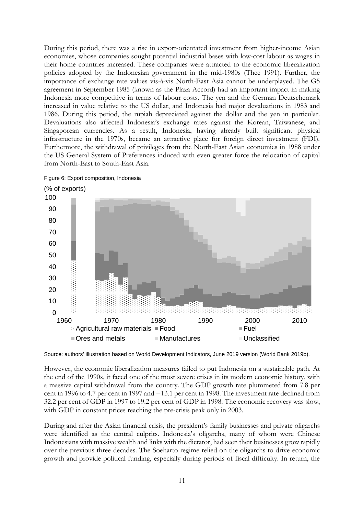During this period, there was a rise in export-orientated investment from higher-income Asian economies, whose companies sought potential industrial bases with low-cost labour as wages in their home countries increased. These companies were attracted to the economic liberalization policies adopted by the Indonesian government in the mid-1980s (Thee 1991). Further, the importance of exchange rate values vis-à-vis North-East Asia cannot be underplayed. The G5 agreement in September 1985 (known as the Plaza Accord) had an important impact in making Indonesia more competitive in terms of labour costs. The yen and the German Deutschemark increased in value relative to the US dollar, and Indonesia had major devaluations in 1983 and 1986. During this period, the rupiah depreciated against the dollar and the yen in particular. Devaluations also affected Indonesia's exchange rates against the Korean, Taiwanese, and Singaporean currencies. As a result, Indonesia, having already built significant physical infrastructure in the 1970s, became an attractive place for foreign direct investment (FDI). Furthermore, the withdrawal of privileges from the North-East Asian economies in 1988 under the US General System of Preferences induced with even greater force the relocation of capital from North-East to South-East Asia.



Figure 6: Export composition, Indonesia

Source: authors' illustration based on World Development Indicators, June 2019 version (World Bank 2019b).

However, the economic liberalization measures failed to put Indonesia on a sustainable path. At the end of the 1990s, it faced one of the most severe crises in its modern economic history, with a massive capital withdrawal from the country. The GDP growth rate plummeted from 7.8 per cent in 1996 to 4.7 per cent in 1997 and −13.1 per cent in 1998. The investment rate declined from 32.2 per cent of GDP in 1997 to 19.2 per cent of GDP in 1998. The economic recovery was slow, with GDP in constant prices reaching the pre-crisis peak only in 2003.

During and after the Asian financial crisis, the president's family businesses and private oligarchs were identified as the central culprits. Indonesia's oligarchs, many of whom were Chinese Indonesians with massive wealth and links with the dictator, had seen their businesses grow rapidly over the previous three decades. The Soeharto regime relied on the oligarchs to drive economic growth and provide political funding, especially during periods of fiscal difficulty. In return, the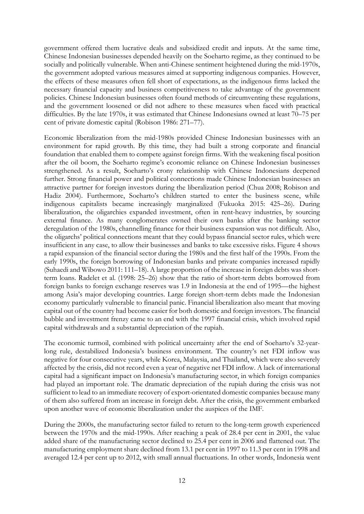government offered them lucrative deals and subsidized credit and inputs. At the same time, Chinese Indonesian businesses depended heavily on the Soeharto regime, as they continued to be socially and politically vulnerable. When anti-Chinese sentiment heightened during the mid-1970s, the government adopted various measures aimed at supporting indigenous companies. However, the effects of these measures often fell short of expectations, as the indigenous firms lacked the necessary financial capacity and business competitiveness to take advantage of the government policies. Chinese Indonesian businesses often found methods of circumventing these regulations, and the government loosened or did not adhere to these measures when faced with practical difficulties. By the late 1970s, it was estimated that Chinese Indonesians owned at least 70–75 per cent of private domestic capital (Robison 1986: 271–77).

Economic liberalization from the mid-1980s provided Chinese Indonesian businesses with an environment for rapid growth. By this time, they had built a strong corporate and financial foundation that enabled them to compete against foreign firms. With the weakening fiscal position after the oil boom, the Soeharto regime's economic reliance on Chinese Indonesian businesses strengthened. As a result, Soeharto's crony relationship with Chinese Indonesians deepened further. Strong financial power and political connections made Chinese Indonesian businesses an attractive partner for foreign investors during the liberalization period (Chua 2008; Robison and Hadiz 2004). Furthermore, Soeharto's children started to enter the business scene, while indigenous capitalists became increasingly marginalized (Fukuoka 2015: 425–26). During liberalization, the oligarchies expanded investment, often in rent-heavy industries, by sourcing external finance. As many conglomerates owned their own banks after the banking sector deregulation of the 1980s, channelling finance for their business expansion was not difficult. Also, the oligarchs' political connections meant that they could bypass financial sector rules, which were insufficient in any case, to allow their businesses and banks to take excessive risks. Figure 4 shows a rapid expansion of the financial sector during the 1980s and the first half of the 1990s. From the early 1990s, the foreign borrowing of Indonesian banks and private companies increased rapidly (Suhaedi and Wibowo 2011: 111–18). A large proportion of the increase in foreign debts was shortterm loans. Radelet et al. (1998: 25–26) show that the ratio of short-term debts borrowed from foreign banks to foreign exchange reserves was 1.9 in Indonesia at the end of 1995—the highest among Asia's major developing countries. Large foreign short-term debts made the Indonesian economy particularly vulnerable to financial panic. Financial liberalization also meant that moving capital out of the country had become easier for both domestic and foreign investors. The financial bubble and investment frenzy came to an end with the 1997 financial crisis, which involved rapid capital withdrawals and a substantial depreciation of the rupiah.

The economic turmoil, combined with political uncertainty after the end of Soeharto's 32-yearlong rule, destabilized Indonesia's business environment. The country's net FDI inflow was negative for four consecutive years, while Korea, Malaysia, and Thailand, which were also severely affected by the crisis, did not record even a year of negative net FDI inflow. A lack of international capital had a significant impact on Indonesia's manufacturing sector, in which foreign companies had played an important role. The dramatic depreciation of the rupiah during the crisis was not sufficient to lead to an immediate recovery of export-orientated domestic companies because many of them also suffered from an increase in foreign debt. After the crisis, the government embarked upon another wave of economic liberalization under the auspices of the IMF.

During the 2000s, the manufacturing sector failed to return to the long-term growth experienced between the 1970s and the mid-1990s. After reaching a peak of 28.4 per cent in 2001, the value added share of the manufacturing sector declined to 25.4 per cent in 2006 and flattened out. The manufacturing employment share declined from 13.1 per cent in 1997 to 11.3 per cent in 1998 and averaged 12.4 per cent up to 2012, with small annual fluctuations. In other words, Indonesia went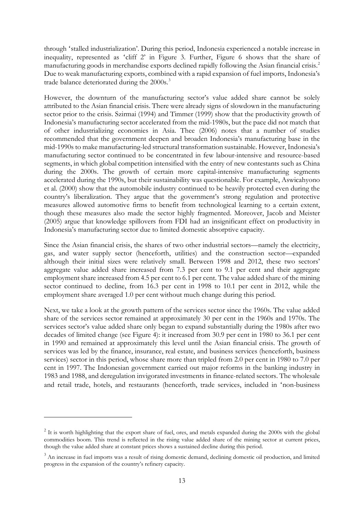through 'stalled industrialization'. During this period, Indonesia experienced a notable increase in inequality, represented as 'cliff 2' in Figure 3. Further, Figure 6 shows that the share of manufacturing goods in merchandise exports declined rapidly following the Asian financial crisis.[2](#page-14-0) Due to weak manufacturing exports, combined with a rapid expansion of fuel imports, Indonesia's trade balance deteriorated during the 2000s.<sup>[3](#page-14-1)</sup>

However, the downturn of the manufacturing sector's value added share cannot be solely attributed to the Asian financial crisis. There were already signs of slowdown in the manufacturing sector prior to the crisis. Szirmai (1994) and Timmer (1999) show that the productivity growth of Indonesia's manufacturing sector accelerated from the mid-1980s, but the pace did not match that of other industrializing economies in Asia. Thee (2006) notes that a number of studies recommended that the government deepen and broaden Indonesia's manufacturing base in the mid-1990s to make manufacturing-led structural transformation sustainable. However, Indonesia's manufacturing sector continued to be concentrated in few labour-intensive and resource-based segments, in which global competition intensified with the entry of new contestants such as China during the 2000s. The growth of certain more capital-intensive manufacturing segments accelerated during the 1990s, but their sustainability was questionable. For example, Aswicahyono et al. (2000) show that the automobile industry continued to be heavily protected even during the country's liberalization. They argue that the government's strong regulation and protective measures allowed automotive firms to benefit from technological learning to a certain extent, though these measures also made the sector highly fragmented. Moreover, Jacob and Meister (2005) argue that knowledge spillovers from FDI had an insignificant effect on productivity in Indonesia's manufacturing sector due to limited domestic absorptive capacity.

Since the Asian financial crisis, the shares of two other industrial sectors—namely the electricity, gas, and water supply sector (henceforth, utilities) and the construction sector—expanded although their initial sizes were relatively small. Between 1998 and 2012, these two sectors' aggregate value added share increased from 7.3 per cent to 9.1 per cent and their aggregate employment share increased from 4.5 per cent to 6.1 per cent. The value added share of the mining sector continued to decline, from 16.3 per cent in 1998 to 10.1 per cent in 2012, while the employment share averaged 1.0 per cent without much change during this period.

Next, we take a look at the growth pattern of the services sector since the 1960s. The value added share of the services sector remained at approximately 30 per cent in the 1960s and 1970s. The services sector's value added share only began to expand substantially during the 1980s after two decades of limited change (see Figure 4): it increased from 30.9 per cent in 1980 to 36.1 per cent in 1990 and remained at approximately this level until the Asian financial crisis. The growth of services was led by the finance, insurance, real estate, and business services (henceforth, business services) sector in this period, whose share more than tripled from 2.0 per cent in 1980 to 7.0 per cent in 1997. The Indonesian government carried out major reforms in the banking industry in 1983 and 1988, and deregulation invigorated investments in finance-related sectors. The wholesale and retail trade, hotels, and restaurants (henceforth, trade services, included in 'non-business

<span id="page-14-0"></span><sup>&</sup>lt;sup>2</sup> It is worth highlighting that the export share of fuel, ores, and metals expanded during the 2000s with the global commodities boom. This trend is reflected in the rising value added share of the mining sector at current prices, though the value added share at constant prices shows a sustained decline during this period.

<span id="page-14-1"></span><sup>&</sup>lt;sup>3</sup> An increase in fuel imports was a result of rising domestic demand, declining domestic oil production, and limited progress in the expansion of the country's refinery capacity.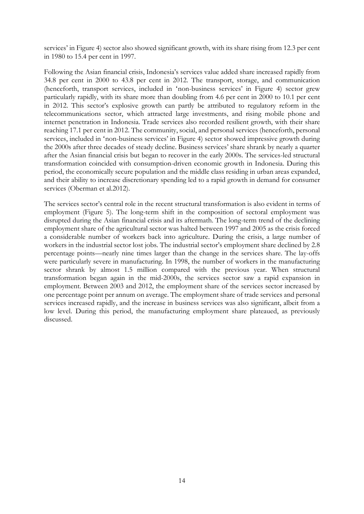services' in Figure 4) sector also showed significant growth, with its share rising from 12.3 per cent in 1980 to 15.4 per cent in 1997.

Following the Asian financial crisis, Indonesia's services value added share increased rapidly from 34.8 per cent in 2000 to 43.8 per cent in 2012. The transport, storage, and communication (henceforth, transport services, included in 'non-business services' in Figure 4) sector grew particularly rapidly, with its share more than doubling from 4.6 per cent in 2000 to 10.1 per cent in 2012. This sector's explosive growth can partly be attributed to regulatory reform in the telecommunications sector, which attracted large investments, and rising mobile phone and internet penetration in Indonesia. Trade services also recorded resilient growth, with their share reaching 17.1 per cent in 2012. The community, social, and personal services (henceforth, personal services, included in 'non-business services' in Figure 4) sector showed impressive growth during the 2000s after three decades of steady decline. Business services' share shrank by nearly a quarter after the Asian financial crisis but began to recover in the early 2000s. The services-led structural transformation coincided with consumption-driven economic growth in Indonesia. During this period, the economically secure population and the middle class residing in urban areas expanded, and their ability to increase discretionary spending led to a rapid growth in demand for consumer services (Oberman et al.2012).

The services sector's central role in the recent structural transformation is also evident in terms of employment (Figure 5). The long-term shift in the composition of sectoral employment was disrupted during the Asian financial crisis and its aftermath. The long-term trend of the declining employment share of the agricultural sector was halted between 1997 and 2005 as the crisis forced a considerable number of workers back into agriculture. During the crisis, a large number of workers in the industrial sector lost jobs. The industrial sector's employment share declined by 2.8 percentage points—nearly nine times larger than the change in the services share. The lay-offs were particularly severe in manufacturing. In 1998, the number of workers in the manufacturing sector shrank by almost 1.5 million compared with the previous year. When structural transformation began again in the mid-2000s, the services sector saw a rapid expansion in employment. Between 2003 and 2012, the employment share of the services sector increased by one percentage point per annum on average. The employment share of trade services and personal services increased rapidly, and the increase in business services was also significant, albeit from a low level. During this period, the manufacturing employment share plateaued, as previously discussed.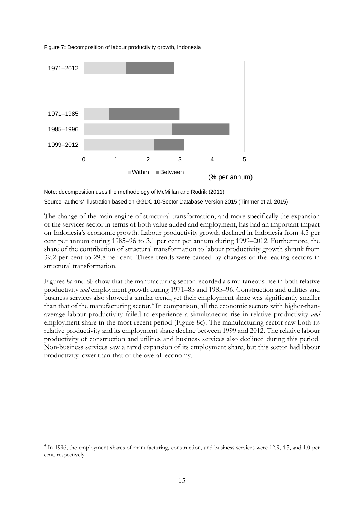

Figure 7: Decomposition of labour productivity growth, Indonesia

Note: decomposition uses the methodology of McMillan and Rodrik (2011).

Source: authors' illustration based on GGDC 10-Sector Database Version 2015 (Timmer et al. 2015).

The change of the main engine of structural transformation, and more specifically the expansion of the services sector in terms of both value added and employment, has had an important impact on Indonesia's economic growth. Labour productivity growth declined in Indonesia from 4.5 per cent per annum during 1985–96 to 3.1 per cent per annum during 1999–2012. Furthermore, the share of the contribution of structural transformation to labour productivity growth shrank from 39.2 per cent to 29.8 per cent. These trends were caused by changes of the leading sectors in structural transformation.

Figures 8a and 8b show that the manufacturing sector recorded a simultaneous rise in both relative productivity *and* employment growth during 1971–85 and 1985–96. Construction and utilities and business services also showed a similar trend, yet their employment share was significantly smaller than that of the manufacturing sector. [4](#page-16-0) In comparison, all the economic sectors with higher-thanaverage labour productivity failed to experience a simultaneous rise in relative productivity *and* employment share in the most recent period (Figure 8c). The manufacturing sector saw both its relative productivity and its employment share decline between 1999 and 2012. The relative labour productivity of construction and utilities and business services also declined during this period. Non-business services saw a rapid expansion of its employment share, but this sector had labour productivity lower than that of the overall economy.

<span id="page-16-0"></span><sup>&</sup>lt;sup>4</sup> In 1996, the employment shares of manufacturing, construction, and business services were 12.9, 4.5, and 1.0 per cent, respectively.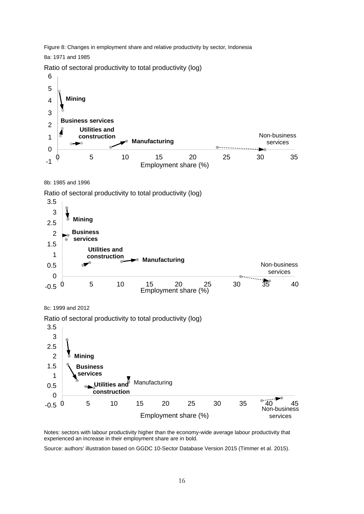Figure 8: Changes in employment share and relative productivity by sector, Indonesia

8a: 1971 and 1985

Ratio of sectoral productivity to total productivity (log)



8b: 1985 and 1996

Ratio of sectoral productivity to total productivity (log)







Notes: sectors with labour productivity higher than the economy-wide average labour productivity that experienced an increase in their employment share are in bold.

Source: authors' illustration based on GGDC 10-Sector Database Version 2015 (Timmer et al. 2015).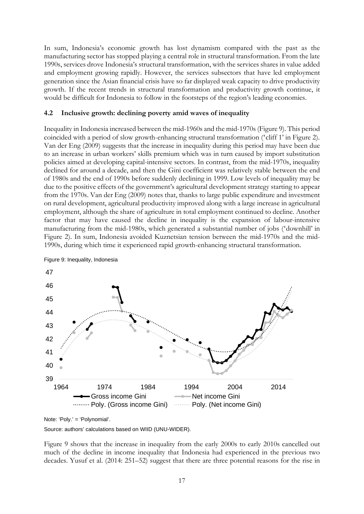In sum, Indonesia's economic growth has lost dynamism compared with the past as the manufacturing sector has stopped playing a central role in structural transformation. From the late 1990s, services drove Indonesia's structural transformation, with the services shares in value added and employment growing rapidly. However, the services subsectors that have led employment generation since the Asian financial crisis have so far displayed weak capacity to drive productivity growth. If the recent trends in structural transformation and productivity growth continue, it would be difficult for Indonesia to follow in the footsteps of the region's leading economies.

### **4.2 Inclusive growth: declining poverty amid waves of inequality**

Inequality in Indonesia increased between the mid-1960s and the mid-1970s (Figure 9). This period coincided with a period of slow growth-enhancing structural transformation ('cliff 1' in Figure 2). Van der Eng (2009) suggests that the increase in inequality during this period may have been due to an increase in urban workers' skills premium which was in turn caused by import substitution policies aimed at developing capital-intensive sectors. In contrast, from the mid-1970s, inequality declined for around a decade, and then the Gini coefficient was relatively stable between the end of 1980s and the end of 1990s before suddenly declining in 1999. Low levels of inequality may be due to the positive effects of the government's agricultural development strategy starting to appear from the 1970s. Van der Eng (2009) notes that, thanks to large public expenditure and investment on rural development, agricultural productivity improved along with a large increase in agricultural employment, although the share of agriculture in total employment continued to decline. Another factor that may have caused the decline in inequality is the expansion of labour-intensive manufacturing from the mid-1980s, which generated a substantial number of jobs ('downhill' in Figure 2). In sum, Indonesia avoided Kuznetsian tension between the mid-1970s and the mid-1990s, during which time it experienced rapid growth-enhancing structural transformation.



Figure 9: Inequality, Indonesia

Source: authors' calculations based on WIID (UNU-WIDER).

Figure 9 shows that the increase in inequality from the early 2000s to early 2010s cancelled out much of the decline in income inequality that Indonesia had experienced in the previous two decades. Yusuf et al. (2014: 251–52) suggest that there are three potential reasons for the rise in

Note: 'Poly.' = 'Polynomial'.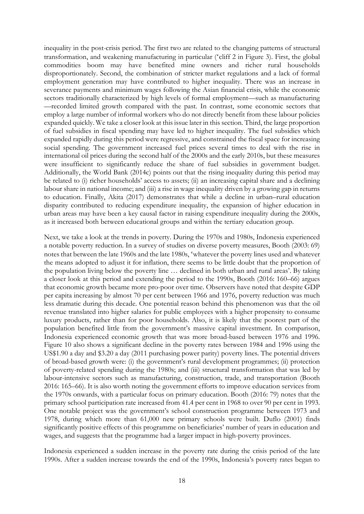inequality in the post-crisis period. The first two are related to the changing patterns of structural transformation, and weakening manufacturing in particular ('cliff 2 in Figure 3). First, the global commodities boom may have benefited mine owners and richer rural households disproportionately. Second, the combination of stricter market regulations and a lack of formal employment generation may have contributed to higher inequality. There was an increase in severance payments and minimum wages following the Asian financial crisis, while the economic sectors traditionally characterized by high levels of formal employment—such as manufacturing —recorded limited growth compared with the past. In contrast, some economic sectors that employ a large number of informal workers who do not directly benefit from these labour policies expanded quickly. We take a closer look at this issue later in this section. Third, the large proportion of fuel subsidies in fiscal spending may have led to higher inequality. The fuel subsidies which expanded rapidly during this period were regressive, and constrained the fiscal space for increasing social spending. The government increased fuel prices several times to deal with the rise in international oil prices during the second half of the 2000s and the early 2010s, but these measures were insufficient to significantly reduce the share of fuel subsidies in government budget. Additionally, the World Bank (2014c) points out that the rising inequality during this period may be related to (i) richer households' access to assets; (ii) an increasing capital share and a declining labour share in national income; and (iii) a rise in wage inequality driven by a growing gap in returns to education. Finally, Akita (2017) demonstrates that while a decline in urban–rural education disparity contributed to reducing expenditure inequality, the expansion of higher education in urban areas may have been a key causal factor in raising expenditure inequality during the 2000s, as it increased both between educational groups and within the tertiary education group.

Next, we take a look at the trends in poverty. During the 1970s and 1980s, Indonesia experienced a notable poverty reduction. In a survey of studies on diverse poverty measures, Booth (2003: 69) notes that between the late 1960s and the late 1980s, 'whatever the poverty lines used and whatever the means adopted to adjust it for inflation, there seems to be little doubt that the proportion of the population living below the poverty line … declined in both urban and rural areas'. By taking a closer look at this period and extending the period to the 1990s, Booth (2016: 160–66) argues that economic growth became more pro-poor over time. Observers have noted that despite GDP per capita increasing by almost 70 per cent between 1966 and 1976, poverty reduction was much less dramatic during this decade. One potential reason behind this phenomenon was that the oil revenue translated into higher salaries for public employees with a higher propensity to consume luxury products, rather than for poor households. Also, it is likely that the poorest part of the population benefited little from the government's massive capital investment. In comparison, Indonesia experienced economic growth that was more broad-based between 1976 and 1996. Figure 10 also shows a significant decline in the poverty rates between 1984 and 1996 using the US\$1.90 a day and \$3.20 a day (2011 purchasing power parity) poverty lines. The potential drivers of broad-based growth were: (i) the government's rural development programmes; (ii) protection of poverty-related spending during the 1980s; and (iii) structural transformation that was led by labour-intensive sectors such as manufacturing, construction, trade, and transportation (Booth 2016: 165–66). It is also worth noting the government efforts to improve education services from the 1970s onwards, with a particular focus on primary education. Booth (2016: 79) notes that the primary school participation rate increased from 41.4 per cent in 1968 to over 90 per cent in 1993. One notable project was the government's school construction programme between 1973 and 1978, during which more than 61,000 new primary schools were built. Duflo (2001) finds significantly positive effects of this programme on beneficiaries' number of years in education and wages, and suggests that the programme had a larger impact in high-poverty provinces.

Indonesia experienced a sudden increase in the poverty rate during the crisis period of the late 1990s. After a sudden increase towards the end of the 1990s, Indonesia's poverty rates began to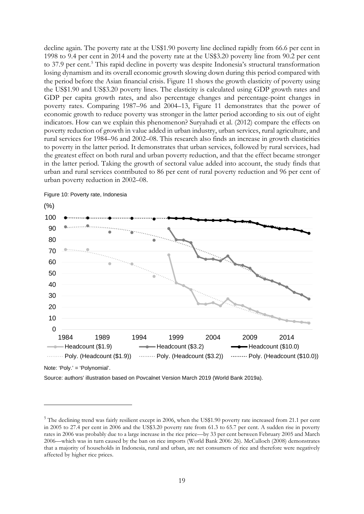decline again. The poverty rate at the US\$1.90 poverty line declined rapidly from 66.6 per cent in 1998 to 9.4 per cent in 2014 and the poverty rate at the US\$3.20 poverty line from 90.2 per cent to 37.9 per cent.<sup>[5](#page-20-0)</sup> This rapid decline in poverty was despite Indonesia's structural transformation losing dynamism and its overall economic growth slowing down during this period compared with the period before the Asian financial crisis. Figure 11 shows the growth elasticity of poverty using the US\$1.90 and US\$3.20 poverty lines. The elasticity is calculated using GDP growth rates and GDP per capita growth rates, and also percentage changes and percentage-point changes in poverty rates. Comparing 1987–96 and 2004–13, Figure 11 demonstrates that the power of economic growth to reduce poverty was stronger in the latter period according to six out of eight indicators. How can we explain this phenomenon? Suryahadi et al. (2012) compare the effects on poverty reduction of growth in value added in urban industry, urban services, rural agriculture, and rural services for 1984–96 and 2002–08. This research also finds an increase in growth elasticities to poverty in the latter period. It demonstrates that urban services, followed by rural services, had the greatest effect on both rural and urban poverty reduction, and that the effect became stronger in the latter period. Taking the growth of sectoral value added into account, the study finds that urban and rural services contributed to 86 per cent of rural poverty reduction and 96 per cent of urban poverty reduction in 2002–08.



Figure 10: Poverty rate, Indonesia

Note: 'Poly.' = 'Polynomial'.

Source: authors' illustration based on Povcalnet Version March 2019 (World Bank 2019a).

<span id="page-20-0"></span><sup>&</sup>lt;sup>5</sup> The declining trend was fairly resilient except in 2006, when the US\$1.90 poverty rate increased from 21.1 per cent in 2005 to 27.4 per cent in 2006 and the US\$3.20 poverty rate from 61.3 to 65.7 per cent. A sudden rise in poverty rates in 2006 was probably due to a large increase in the rice price—by 33 per cent between February 2005 and March 2006—which was in turn caused by the ban on rice imports (World Bank 2006: 26). McCulloch (2008) demonstrates that a majority of households in Indonesia, rural and urban, are net consumers of rice and therefore were negatively affected by higher rice prices.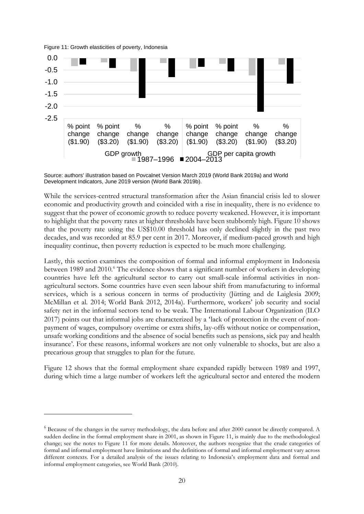Figure 11: Growth elasticities of poverty, Indonesia



Source: authors' illustration based on Povcalnet Version March 2019 (World Bank 2019a) and World Development Indicators, June 2019 version (World Bank 2019b).

While the services-centred structural transformation after the Asian financial crisis led to slower economic and productivity growth and coincided with a rise in inequality, there is no evidence to suggest that the power of economic growth to reduce poverty weakened. However, it is important to highlight that the poverty rates at higher thresholds have been stubbornly high. Figure 10 shows that the poverty rate using the US\$10.00 threshold has only declined slightly in the past two decades, and was recorded at 85.9 per cent in 2017. Moreover, if medium-paced growth and high inequality continue, then poverty reduction is expected to be much more challenging.

Lastly, this section examines the composition of formal and informal employment in Indonesia between 1989 and 2010.<sup>[6](#page-21-0)</sup> The evidence shows that a significant number of workers in developing countries have left the agricultural sector to carry out small-scale informal activities in nonagricultural sectors. Some countries have even seen labour shift from manufacturing to informal services, which is a serious concern in terms of productivity (Jütting and de Laiglesia 2009; McMillan et al. 2014; World Bank 2012, 2014a). Furthermore, workers' job security and social safety net in the informal sectors tend to be weak. The International Labour Organization (ILO 2017) points out that informal jobs are characterized by a 'lack of protection in the event of nonpayment of wages, compulsory overtime or extra shifts, lay-offs without notice or compensation, unsafe working conditions and the absence of social benefits such as pensions, sick pay and health insurance'. For these reasons, informal workers are not only vulnerable to shocks, but are also a precarious group that struggles to plan for the future.

Figure 12 shows that the formal employment share expanded rapidly between 1989 and 1997, during which time a large number of workers left the agricultural sector and entered the modern

<span id="page-21-0"></span> $6$  Because of the changes in the survey methodology, the data before and after 2000 cannot be directly compared. A sudden decline in the formal employment share in 2001, as shown in Figure 11, is mainly due to the methodological change; see the notes to Figure 11 for more details. Moreover, the authors recognize that the crude categories of formal and informal employment have limitations and the definitions of formal and informal employment vary across different contexts. For a detailed analysis of the issues relating to Indonesia's employment data and formal and informal employment categories, see World Bank (2010).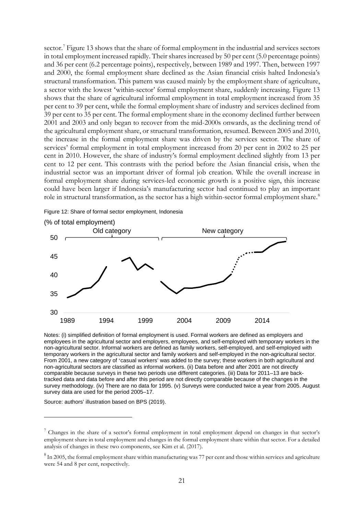sector.<sup>[7](#page-22-0)</sup> Figure 13 shows that the share of formal employment in the industrial and services sectors in total employment increased rapidly. Their shares increased by 50 per cent (5.0 percentage points) and 36 per cent (6.2 percentage points), respectively, between 1989 and 1997. Then, between 1997 and 2000, the formal employment share declined as the Asian financial crisis halted Indonesia's structural transformation. This pattern was caused mainly by the employment share of agriculture, a sector with the lowest 'within-sector' formal employment share, suddenly increasing. Figure 13 shows that the share of agricultural informal employment in total employment increased from 35 per cent to 39 per cent, while the formal employment share of industry and services declined from 39 per cent to 35 per cent. The formal employment share in the economy declined further between 2001 and 2003 and only began to recover from the mid-2000s onwards, as the declining trend of the agricultural employment share, or structural transformation, resumed. Between 2005 and 2010, the increase in the formal employment share was driven by the services sector. The share of services' formal employment in total employment increased from 20 per cent in 2002 to 25 per cent in 2010. However, the share of industry's formal employment declined slightly from 13 per cent to 12 per cent. This contrasts with the period before the Asian financial crisis, when the industrial sector was an important driver of formal job creation. While the overall increase in formal employment share during services-led economic growth is a positive sign, this increase could have been larger if Indonesia's manufacturing sector had continued to play an important role in structural transformation, as the sector has a high within-sector formal employment share.<sup>[8](#page-22-1)</sup>

Figure 12: Share of formal sector employment, Indonesia



Notes: (i) simplified definition of formal employment is used. Formal workers are defined as employers and employees in the agricultural sector and employers, employees, and self-employed with temporary workers in the non-agricultural sector. Informal workers are defined as family workers, self-employed, and self-employed with temporary workers in the agricultural sector and family workers and self-employed in the non-agricultural sector. From 2001, a new category of 'casual workers' was added to the survey; these workers in both agricultural and non-agricultural sectors are classified as informal workers. (ii) Data before and after 2001 are not directly comparable because surveys in these two periods use different categories. (iii) Data for 2011–13 are backtracked data and data before and after this period are not directly comparable because of the changes in the survey methodology. (iv) There are no data for 1995. (v) Surveys were conducted twice a year from 2005. August survey data are used for the period 2005–17.

Source: authors' illustration based on BPS (2019).

<span id="page-22-0"></span><sup>&</sup>lt;sup>7</sup> Changes in the share of a sector's formal employment in total employment depend on changes in that sector's employment share in total employment and changes in the formal employment share within that sector. For a detailed analysis of changes in these two components, see Kim et al. (2017).

<span id="page-22-1"></span> $8$  In 2005, the formal employment share within manufacturing was 77 per cent and those within services and agriculture were 54 and 8 per cent, respectively.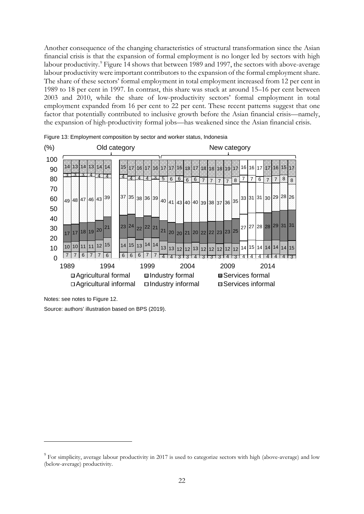Another consequence of the changing characteristics of structural transformation since the Asian financial crisis is that the expansion of formal employment is no longer led by sectors with high labour productivity.<sup>[9](#page-23-0)</sup> Figure 14 shows that between 1989 and 1997, the sectors with above-average labour productivity were important contributors to the expansion of the formal employment share. The share of these sectors' formal employment in total employment increased from 12 per cent in 1989 to 18 per cent in 1997. In contrast, this share was stuck at around 15–16 per cent between 2003 and 2010, while the share of low-productivity sectors' formal employment in total employment expanded from 16 per cent to 22 per cent. These recent patterns suggest that one factor that potentially contributed to inclusive growth before the Asian financial crisis—namely, the expansion of high-productivity formal jobs—has weakened since the Asian financial crisis.



Figure 13: Employment composition by sector and worker status, Indonesia

Notes: see notes to Figure 12.

Source: authors' illustration based on BPS (2019).

<span id="page-23-0"></span><sup>&</sup>lt;sup>9</sup> For simplicity, average labour productivity in 2017 is used to categorize sectors with high (above-average) and low (below-average) productivity.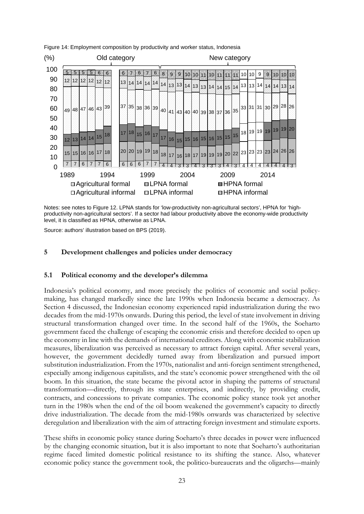

Figure 14: Employment composition by productivity and worker status, Indonesia

Notes: see notes to Figure 12. LPNA stands for 'low-productivity non-agricultural sectors', HPNA for 'highproductivity non-agricultural sectors'. If a sector had labour productivity above the economy-wide productivity level, it is classified as HPNA, otherwise as LPNA.

Source: authors' illustration based on BPS (2019).

#### **5 Development challenges and policies under democracy**

#### **5.1 Political economy and the developer's dilemma**

Indonesia's political economy, and more precisely the politics of economic and social policymaking, has changed markedly since the late 1990s when Indonesia became a democracy. As Section 4 discussed, the Indonesian economy experienced rapid industrialization during the two decades from the mid-1970s onwards. During this period, the level of state involvement in driving structural transformation changed over time. In the second half of the 1960s, the Soeharto government faced the challenge of escaping the economic crisis and therefore decided to open up the economy in line with the demands of international creditors. Along with economic stabilization measures, liberalization was perceived as necessary to attract foreign capital. After several years, however, the government decidedly turned away from liberalization and pursued import substitution industrialization. From the 1970s, nationalist and anti-foreign sentiment strengthened, especially among indigenous capitalists, and the state's economic power strengthened with the oil boom. In this situation, the state became the pivotal actor in shaping the patterns of structural transformation—directly, through its state enterprises, and indirectly, by providing credit, contracts, and concessions to private companies. The economic policy stance took yet another turn in the 1980s when the end of the oil boom weakened the government's capacity to directly drive industrialization. The decade from the mid-1980s onwards was characterized by selective deregulation and liberalization with the aim of attracting foreign investment and stimulate exports.

These shifts in economic policy stance during Soeharto's three decades in power were influenced by the changing economic situation, but it is also important to note that Soeharto's authoritarian regime faced limited domestic political resistance to its shifting the stance. Also, whatever economic policy stance the government took, the politico-bureaucrats and the oligarchs—mainly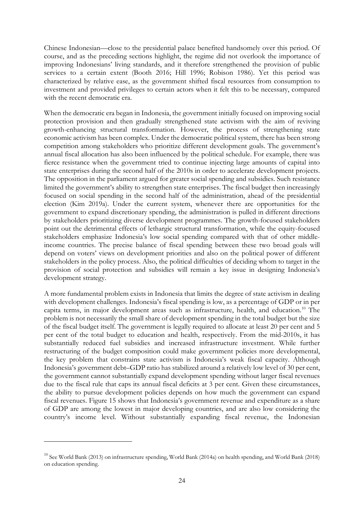Chinese Indonesian—close to the presidential palace benefited handsomely over this period. Of course, and as the preceding sections highlight, the regime did not overlook the importance of improving Indonesians' living standards, and it therefore strengthened the provision of public services to a certain extent (Booth 2016; Hill 1996; Robison 1986). Yet this period was characterized by relative ease, as the government shifted fiscal resources from consumption to investment and provided privileges to certain actors when it felt this to be necessary, compared with the recent democratic era.

When the democratic era began in Indonesia, the government initially focused on improving social protection provision and then gradually strengthened state activism with the aim of reviving growth-enhancing structural transformation. However, the process of strengthening state economic activism has been complex. Under the democratic political system, there has been strong competition among stakeholders who prioritize different development goals. The government's annual fiscal allocation has also been influenced by the political schedule. For example, there was fierce resistance when the government tried to continue injecting large amounts of capital into state enterprises during the second half of the 2010s in order to accelerate development projects. The opposition in the parliament argued for greater social spending and subsidies. Such resistance limited the government's ability to strengthen state enterprises. The fiscal budget then increasingly focused on social spending in the second half of the administration, ahead of the presidential election (Kim 2019a). Under the current system, whenever there are opportunities for the government to expand discretionary spending, the administration is pulled in different directions by stakeholders prioritizing diverse development programmes. The growth-focused stakeholders point out the detrimental effects of lethargic structural transformation, while the equity-focused stakeholders emphasize Indonesia's low social spending compared with that of other middleincome countries. The precise balance of fiscal spending between these two broad goals will depend on voters' views on development priorities and also on the political power of different stakeholders in the policy process. Also, the political difficulties of deciding whom to target in the provision of social protection and subsidies will remain a key issue in designing Indonesia's development strategy.

A more fundamental problem exists in Indonesia that limits the degree of state activism in dealing with development challenges. Indonesia's fiscal spending is low, as a percentage of GDP or in per capita terms, in major development areas such as infrastructure, health, and education.<sup>10</sup> The problem is not necessarily the small share of development spending in the total budget but the size of the fiscal budget itself. The government is legally required to allocate at least 20 per cent and 5 per cent of the total budget to education and health, respectively. From the mid-2010s, it has substantially reduced fuel subsidies and increased infrastructure investment. While further restructuring of the budget composition could make government policies more developmental, the key problem that constrains state activism is Indonesia's weak fiscal capacity. Although Indonesia's government debt–GDP ratio has stabilized around a relatively low level of 30 per cent, the government cannot substantially expand development spending without larger fiscal revenues due to the fiscal rule that caps its annual fiscal deficits at 3 per cent. Given these circumstances, the ability to pursue development policies depends on how much the government can expand fiscal revenues. Figure 15 shows that Indonesia's government revenue and expenditure as a share of GDP are among the lowest in major developing countries, and are also low considering the country's income level. Without substantially expanding fiscal revenue, the Indonesian

<span id="page-25-0"></span> $10$  See World Bank (2013) on infrastructure spending, World Bank (2014a) on health spending, and World Bank (2018) on education spending.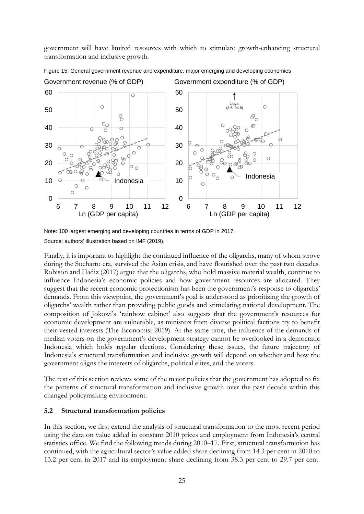government will have limited resources with which to stimulate growth-enhancing structural transformation and inclusive growth.



Figure 15: General government revenue and expenditure, major emerging and developing economies

Finally, it is important to highlight the continued influence of the oligarchs, many of whom strove during the Soeharto era, survived the Asian crisis, and have flourished over the past two decades. Robison and Hadiz (2017) argue that the oligarchs, who hold massive material wealth, continue to influence Indonesia's economic policies and how government resources are allocated. They suggest that the recent economic protectionism has been the government's response to oligarchs' demands. From this viewpoint, the government's goal is understood as prioritizing the growth of oligarchs' wealth rather than providing public goods and stimulating national development. The composition of Jokowi's 'rainbow cabinet' also suggests that the government's resources for economic development are vulnerable, as ministers from diverse political factions try to benefit their vested interests (The Economist 2019). At the same time, the influence of the demands of median voters on the government's development strategy cannot be overlooked in a democratic Indonesia which holds regular elections. Considering these issues, the future trajectory of Indonesia's structural transformation and inclusive growth will depend on whether and how the government aligns the interests of oligarchs, political elites, and the voters.

The rest of this section reviews some of the major policies that the government has adopted to fix the patterns of structural transformation and inclusive growth over the past decade within this changed policymaking environment.

## **5.2 Structural transformation policies**

In this section, we first extend the analysis of structural transformation to the most recent period using the data on value added in constant 2010 prices and employment from Indonesia's central statistics office. We find the following trends during 2010–17. First, structural transformation has continued, with the agricultural sector's value added share declining from 14.3 per cent in 2010 to 13.2 per cent in 2017 and its employment share declining from 38.3 per cent to 29.7 per cent.

Note: 100 largest emerging and developing countries in terms of GDP in 2017. Source: authors' illustration based on IMF (2019).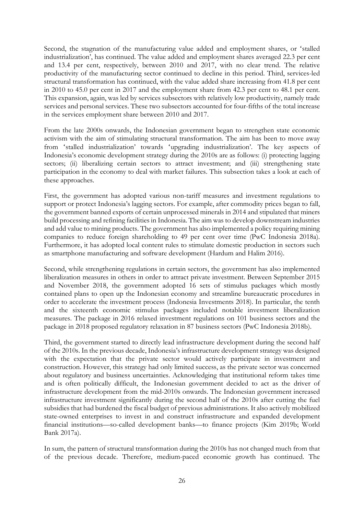Second, the stagnation of the manufacturing value added and employment shares, or 'stalled industrialization', has continued. The value added and employment shares averaged 22.3 per cent and 13.4 per cent, respectively, between 2010 and 2017, with no clear trend. The relative productivity of the manufacturing sector continued to decline in this period. Third, services-led structural transformation has continued, with the value added share increasing from 41.8 per cent in 2010 to 45.0 per cent in 2017 and the employment share from 42.3 per cent to 48.1 per cent. This expansion, again, was led by services subsectors with relatively low productivity, namely trade services and personal services. These two subsectors accounted for four-fifths of the total increase in the services employment share between 2010 and 2017.

From the late 2000s onwards, the Indonesian government began to strengthen state economic activism with the aim of stimulating structural transformation. The aim has been to move away from 'stalled industrialization' towards 'upgrading industrialization'. The key aspects of Indonesia's economic development strategy during the 2010s are as follows: (i) protecting lagging sectors; (ii) liberalizing certain sectors to attract investment; and (iii) strengthening state participation in the economy to deal with market failures. This subsection takes a look at each of these approaches.

First, the government has adopted various non-tariff measures and investment regulations to support or protect Indonesia's lagging sectors. For example, after commodity prices began to fall, the government banned exports of certain unprocessed minerals in 2014 and stipulated that miners build processing and refining facilities in Indonesia. The aim was to develop downstream industries and add value to mining products. The government has also implemented a policy requiring mining companies to reduce foreign shareholding to 49 per cent over time (PwC Indonesia 2018a). Furthermore, it has adopted local content rules to stimulate domestic production in sectors such as smartphone manufacturing and software development (Hardum and Halim 2016).

Second, while strengthening regulations in certain sectors, the government has also implemented liberalization measures in others in order to attract private investment. Between September 2015 and November 2018, the government adopted 16 sets of stimulus packages which mostly contained plans to open up the Indonesian economy and streamline bureaucratic procedures in order to accelerate the investment process (Indonesia Investments 2018). In particular, the tenth and the sixteenth economic stimulus packages included notable investment liberalization measures. The package in 2016 relaxed investment regulations on 101 business sectors and the package in 2018 proposed regulatory relaxation in 87 business sectors (PwC Indonesia 2018b).

Third, the government started to directly lead infrastructure development during the second half of the 2010s. In the previous decade, Indonesia's infrastructure development strategy was designed with the expectation that the private sector would actively participate in investment and construction. However, this strategy had only limited success, as the private sector was concerned about regulatory and business uncertainties. Acknowledging that institutional reform takes time and is often politically difficult, the Indonesian government decided to act as the driver of infrastructure development from the mid-2010s onwards. The Indonesian government increased infrastructure investment significantly during the second half of the 2010s after cutting the fuel subsidies that had burdened the fiscal budget of previous administrations. It also actively mobilized state-owned enterprises to invest in and construct infrastructure and expanded development financial institutions—so-called development banks—to finance projects (Kim 2019b; World Bank 2017a).

In sum, the pattern of structural transformation during the 2010s has not changed much from that of the previous decade. Therefore, medium-paced economic growth has continued. The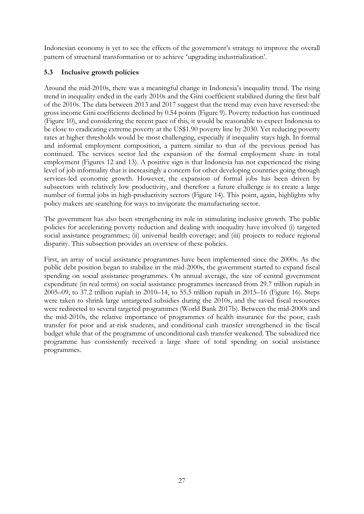Indonesian economy is yet to see the effects of the government's strategy to improve the overall pattern of structural transformation or to achieve 'upgrading industrialization'.

# **5.3 Inclusive growth policies**

Around the mid-2010s, there was a meaningful change in Indonesia's inequality trend. The rising trend in inequality ended in the early 2010s and the Gini coefficient stabilized during the first half of the 2010s. The data between 2013 and 2017 suggest that the trend may even have reversed: the gross income Gini coefficients declined by 0.54 points (Figure 9). Poverty reduction has continued (Figure 10), and considering the recent pace of this, it would be reasonable to expect Indonesia to be close to eradicating extreme poverty at the US\$1.90 poverty line by 2030. Yet reducing poverty rates at higher thresholds would be most challenging, especially if inequality stays high. In formal and informal employment composition, a pattern similar to that of the previous period has continued. The services sector led the expansion of the formal employment share in total employment (Figures 12 and 13). A positive sign is that Indonesia has not experienced the rising level of job informality that is increasingly a concern for other developing countries going through services-led economic growth. However, the expansion of formal jobs has been driven by subsectors with relatively low productivity, and therefore a future challenge is to create a large number of formal jobs in high-productivity sectors (Figure 14). This point, again, highlights why policy makers are searching for ways to invigorate the manufacturing sector.

The government has also been strengthening its role in stimulating inclusive growth. The public policies for accelerating poverty reduction and dealing with inequality have involved (i) targeted social assistance programmes; (ii) universal health coverage; and (iii) projects to reduce regional disparity. This subsection provides an overview of these policies.

First, an array of social assistance programmes have been implemented since the 2000s. As the public debt position began to stabilize in the mid-2000s, the government started to expand fiscal spending on social assistance programmes. On annual average, the size of central government expenditure (in real terms) on social assistance programmes increased from 29.7 trillion rupiah in 2005–09, to 37.2 trillion rupiah in 2010–14, to 55.5 trillion rupiah in 2015–16 (Figure 16). Steps were taken to shrink large untargeted subsidies during the 2010s, and the saved fiscal resources were redirected to several targeted programmes (World Bank 2017b). Between the mid-2000s and the mid-2010s, the relative importance of programmes of health insurance for the poor, cash transfer for poor and at-risk students, and conditional cash transfer strengthened in the fiscal budget while that of the programme of unconditional cash transfer weakened. The subsidized rice programme has consistently received a large share of total spending on social assistance programmes.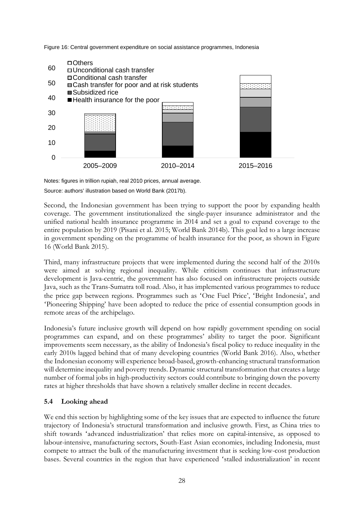Figure 16: Central government expenditure on social assistance programmes, Indonesia



Notes: figures in trillion rupiah, real 2010 prices, annual average. Source: authors' illustration based on World Bank (2017b).

Second, the Indonesian government has been trying to support the poor by expanding health coverage. The government institutionalized the single-payer insurance administrator and the unified national health insurance programme in 2014 and set a goal to expand coverage to the entire population by 2019 (Pisani et al. 2015; World Bank 2014b). This goal led to a large increase in government spending on the programme of health insurance for the poor, as shown in Figure 16 (World Bank 2015).

Third, many infrastructure projects that were implemented during the second half of the 2010s were aimed at solving regional inequality. While criticism continues that infrastructure development is Java-centric, the government has also focused on infrastructure projects outside Java, such as the Trans-Sumatra toll road. Also, it has implemented various programmes to reduce the price gap between regions. Programmes such as 'One Fuel Price', 'Bright Indonesia', and 'Pioneering Shipping' have been adopted to reduce the price of essential consumption goods in remote areas of the archipelago.

Indonesia's future inclusive growth will depend on how rapidly government spending on social programmes can expand, and on these programmes' ability to target the poor. Significant improvements seem necessary, as the ability of Indonesia's fiscal policy to reduce inequality in the early 2010s lagged behind that of many developing countries (World Bank 2016). Also, whether the Indonesian economy will experience broad-based, growth-enhancing structural transformation will determine inequality and poverty trends. Dynamic structural transformation that creates a large number of formal jobs in high-productivity sectors could contribute to bringing down the poverty rates at higher thresholds that have shown a relatively smaller decline in recent decades.

# **5.4 Looking ahead**

We end this section by highlighting some of the key issues that are expected to influence the future trajectory of Indonesia's structural transformation and inclusive growth. First, as China tries to shift towards 'advanced industrialization' that relies more on capital-intensive, as opposed to labour-intensive, manufacturing sectors, South-East Asian economies, including Indonesia, must compete to attract the bulk of the manufacturing investment that is seeking low-cost production bases. Several countries in the region that have experienced 'stalled industrialization' in recent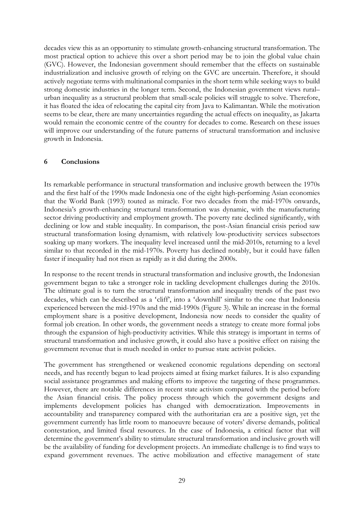decades view this as an opportunity to stimulate growth-enhancing structural transformation. The most practical option to achieve this over a short period may be to join the global value chain (GVC). However, the Indonesian government should remember that the effects on sustainable industrialization and inclusive growth of relying on the GVC are uncertain. Therefore, it should actively negotiate terms with multinational companies in the short term while seeking ways to build strong domestic industries in the longer term. Second, the Indonesian government views rural– urban inequality as a structural problem that small-scale policies will struggle to solve. Therefore, it has floated the idea of relocating the capital city from Java to Kalimantan. While the motivation seems to be clear, there are many uncertainties regarding the actual effects on inequality, as Jakarta would remain the economic centre of the country for decades to come. Research on these issues will improve our understanding of the future patterns of structural transformation and inclusive growth in Indonesia.

## **6 Conclusions**

Its remarkable performance in structural transformation and inclusive growth between the 1970s and the first half of the 1990s made Indonesia one of the eight high-performing Asian economies that the World Bank (1993) touted as miracle. For two decades from the mid-1970s onwards, Indonesia's growth-enhancing structural transformation was dynamic, with the manufacturing sector driving productivity and employment growth. The poverty rate declined significantly, with declining or low and stable inequality. In comparison, the post-Asian financial crisis period saw structural transformation losing dynamism, with relatively low-productivity services subsectors soaking up many workers. The inequality level increased until the mid-2010s, returning to a level similar to that recorded in the mid-1970s. Poverty has declined notably, but it could have fallen faster if inequality had not risen as rapidly as it did during the 2000s.

In response to the recent trends in structural transformation and inclusive growth, the Indonesian government began to take a stronger role in tackling development challenges during the 2010s. The ultimate goal is to turn the structural transformation and inequality trends of the past two decades, which can be described as a 'cliff', into a 'downhill' similar to the one that Indonesia experienced between the mid-1970s and the mid-1990s (Figure 3). While an increase in the formal employment share is a positive development, Indonesia now needs to consider the quality of formal job creation. In other words, the government needs a strategy to create more formal jobs through the expansion of high-productivity activities. While this strategy is important in terms of structural transformation and inclusive growth, it could also have a positive effect on raising the government revenue that is much needed in order to pursue state activist policies.

The government has strengthened or weakened economic regulations depending on sectoral needs, and has recently begun to lead projects aimed at fixing market failures. It is also expanding social assistance programmes and making efforts to improve the targeting of these programmes. However, there are notable differences in recent state activism compared with the period before the Asian financial crisis. The policy process through which the government designs and implements development policies has changed with democratization. Improvements in accountability and transparency compared with the authoritarian era are a positive sign, yet the government currently has little room to manoeuvre because of voters' diverse demands, political contestation, and limited fiscal resources. In the case of Indonesia, a critical factor that will determine the government's ability to stimulate structural transformation and inclusive growth will be the availability of funding for development projects. An immediate challenge is to find ways to expand government revenues. The active mobilization and effective management of state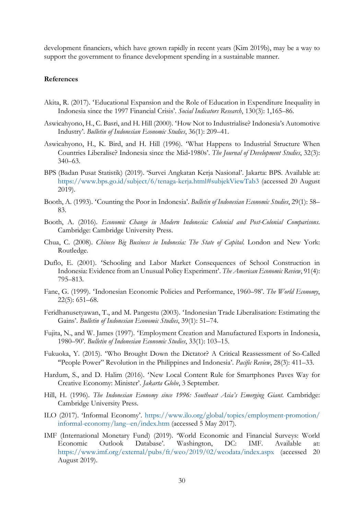development financiers, which have grown rapidly in recent years (Kim 2019b), may be a way to support the government to finance development spending in a sustainable manner.

### **References**

- Akita, R. (2017). 'Educational Expansion and the Role of Education in Expenditure Inequality in Indonesia since the 1997 Financial Crisis'. *Social Indicators Research*, 130(3): 1,165–86.
- Aswicahyono, H., C. Basri, and H. Hill (2000). 'How Not to Industrialise? Indonesia's Automotive Industry'. *Bulletin of Indonesian Economic Studies*, 36(1): 209–41.
- Aswicahyono, H., K. Bird, and H. Hill (1996). 'What Happens to Industrial Structure When Countries Liberalise? Indonesia since the Mid‐1980s'. *The Journal of Development Studies*, 32(3): 340–63.
- BPS (Badan Pusat Statistik) (2019). 'Survei Angkatan Kerja Nasional'. Jakarta: BPS. Available at: <https://www.bps.go.id/subject/6/tenaga-kerja.html#subjekViewTab3> (accessed 20 August 2019).
- Booth, A. (1993). 'Counting the Poor in Indonesia'. *Bulletin of Indonesian Economic Studies*, 29(1): 58– 83.
- Booth, A. (2016). *Economic Change in Modern Indonesia: Colonial and Post-Colonial Comparisons*. Cambridge: Cambridge University Press.
- Chua, C. (2008). *Chinese Big Business in Indonesia: The State of Capital*. London and New York: Routledge.
- Duflo, E. (2001). 'Schooling and Labor Market Consequences of School Construction in Indonesia: Evidence from an Unusual Policy Experiment'. *The American Economic Review*, 91(4): 795–813.
- Fane, G. (1999). 'Indonesian Economic Policies and Performance, 1960–98'. *The World Economy*, 22(5): 651–68.
- Feridhanusetyawan, T., and M. Pangestu (2003). 'Indonesian Trade Liberalisation: Estimating the Gains'. *Bulletin of Indonesian Economic Studies*, 39(1): 51–74.
- Fujita, N., and W. James (1997). 'Employment Creation and Manufactured Exports in Indonesia, 1980–90'. *Bulletin of Indonesian Economic Studies*, 33(1): 103–15.
- Fukuoka, Y. (2015). 'Who Brought Down the Dictator? A Critical Reassessment of So-Called "People Power" Revolution in the Philippines and Indonesia'. *Pacific Review*, 28(3): 411–33.
- Hardum, S., and D. Halim (2016). 'New Local Content Rule for Smartphones Paves Way for Creative Economy: Minister'. *Jakarta Globe*, 3 September.
- Hill, H. (1996). *The Indonesian Economy since 1996: Southeast Asia's Emerging Giant*. Cambridge: Cambridge University Press.
- ILO (2017). 'Informal Economy'. [https://www.ilo.org/global/topics/employment-promotion/](https://www.ilo.org/global/topics/employment-promotion/informal-economy/lang--en/index.htm) [informal-economy/lang--en/index.htm](https://www.ilo.org/global/topics/employment-promotion/informal-economy/lang--en/index.htm) (accessed 5 May 2017).
- IMF (International Monetary Fund) (2019). 'World Economic and Financial Surveys: World Economic Outlook Database'. Washington, DC: IMF. Available at: <https://www.imf.org/external/pubs/ft/weo/2019/02/weodata/index.aspx> (accessed 20 August 2019).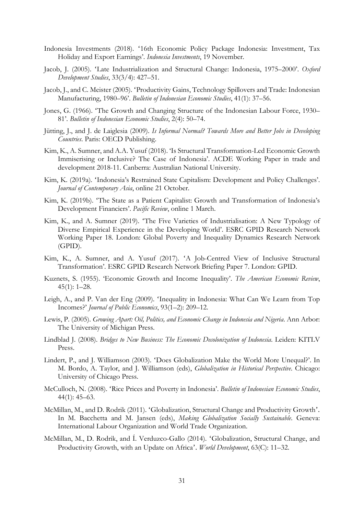- Indonesia Investments (2018). '16th Economic Policy Package Indonesia: Investment, Tax Holiday and Export Earnings'. *Indonesia Investments*, 19 November.
- Jacob, J. (2005). 'Late Industrialization and Structural Change: Indonesia, 1975–2000'. *Oxford Development Studies*, 33(3/4): 427–51.
- Jacob, J., and C. Meister (2005). 'Productivity Gains, Technology Spillovers and Trade: Indonesian Manufacturing, 1980–96'. *Bulletin of Indonesian Economic Studies*, 41(1): 37–56.
- Jones, G. (1966). 'The Growth and Changing Structure of the Indonesian Labour Force, 1930– 81'. *Bulletin of Indonesian Economic Studies*, 2(4): 50–74.
- Jütting, J., and J. de Laiglesia (2009). *Is Informal Normal? Towards More and Better Jobs in Developing Countries*. Paris: OECD Publishing.
- Kim, K., A. Sumner, and A.A. Yusuf (2018). 'Is Structural Transformation-Led Economic Growth Immiserising or Inclusive? The Case of Indonesia'. ACDE Working Paper in trade and development 2018-11. Canberra: Australian National University.
- Kim, K. (2019a). 'Indonesia's Restrained State Capitalism: Development and Policy Challenges'. *Journal of Contemporary Asia*, online 21 October.
- Kim, K. (2019b). 'The State as a Patient Capitalist: Growth and Transformation of Indonesia's Development Financiers'. *Pacific Review*, online 1 March.
- Kim, K., and A. Sumner (2019). 'The Five Varieties of Industrialisation: A New Typology of Diverse Empirical Experience in the Developing World'. ESRC GPID Research Network Working Paper 18. London: Global Poverty and Inequality Dynamics Research Network (GPID).
- Kim, K., A. Sumner, and A. Yusuf (2017). 'A Job-Centred View of Inclusive Structural Transformation'. ESRC GPID Research Network Briefing Paper 7. London: GPID.
- Kuznets, S. (1955). 'Economic Growth and Income Inequality'. *The American Economic Review*, 45(1): 1–28.
- Leigh, A., and P. Van der Eng (2009). 'Inequality in Indonesia: What Can We Learn from Top Incomes?' *Journal of Public Economics*, 93(1–2): 209–12.
- Lewis, P. (2005). *Growing Apart: Oil, Politics, and Economic Change in Indonesia and Nigeria*. Ann Arbor: The University of Michigan Press.
- Lindblad J. (2008). *Bridges to New Business: The Economic Decolonization of Indonesia*. Leiden: KITLV Press.
- Lindert, P., and J. Williamson (2003). 'Does Globalization Make the World More Unequal?'. In M. Bordo, A. Taylor, and J. Williamson (eds), *Globalization in Historical Perspective*. Chicago: University of Chicago Press.
- McCulloch, N. (2008). 'Rice Prices and Poverty in Indonesia'. *Bulletin of Indonesian Economic Studies*, 44(1): 45–63.
- McMillan, M., and D. Rodrik (2011). 'Globalization, Structural Change and Productivity Growth'. In M. Bacchetta and M. Jansen (eds), *Making Globalization Socially Sustainable*. Geneva: International Labour Organization and World Trade Organization.
- McMillan, M., D. Rodrik, and Í. Verduzco-Gallo (2014). 'Globalization, Structural Change, and Productivity Growth, with an Update on Africa'. *World Development*, 63(C): 11–32.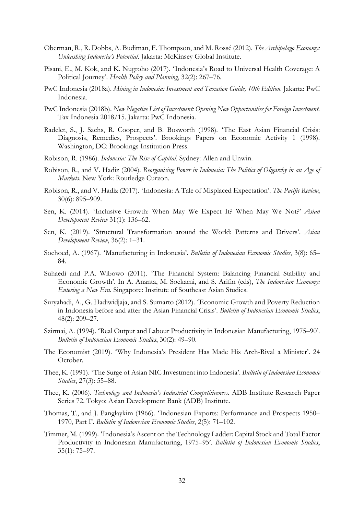- Oberman, R., R. Dobbs, A. Budiman, F. Thompson, and M. Rossé (2012). *The Archipelago Economy: Unleashing Indonesia's Potential*. Jakarta: McKinsey Global Institute.
- Pisani, E., M. Kok, and K. Nugroho (2017). 'Indonesia's Road to Universal Health Coverage: A Political Journey'. *Health Policy and Planning*, 32(2): 267–76.
- PwC Indonesia (2018a). *Mining in Indonesia: Investment and Taxation Guide, 10th Edition*. Jakarta: PwC Indonesia.
- PwC Indonesia (2018b). *New Negative List of Investment: Opening New Opportunities for Foreign Investment*. Tax Indonesia 2018/15. Jakarta: PwC Indonesia.
- Radelet, S., J. Sachs, R. Cooper, and B. Bosworth (1998). 'The East Asian Financial Crisis: Diagnosis, Remedies, Prospects'. Brookings Papers on Economic Activity 1 (1998). Washington, DC: Brookings Institution Press.
- Robison, R. (1986). *Indonesia: The Rise of Capital*. Sydney: Allen and Unwin.
- Robison, R., and V. Hadiz (2004). *Reorganising Power in Indonesia: The Politics of Oligarchy in an Age of Markets*. New York: Routledge Curzon.
- Robison, R., and V. Hadiz (2017). 'Indonesia: A Tale of Misplaced Expectation'. *The Pacific Review*, 30(6): 895–909.
- Sen, K. (2014). 'Inclusive Growth: When May We Expect It? When May We Not?' *Asian Development Review* 31(1): 136–62.
- Sen, K. (2019). 'Structural Transformation around the World: Patterns and Drivers'. *Asian Development Review*, 36(2): 1–31.
- Soehoed, A. (1967). 'Manufacturing in Indonesia'. *Bulletin of Indonesian Economic Studies*, 3(8): 65– 84.
- Suhaedi and P.A. Wibowo (2011). 'The Financial System: Balancing Financial Stability and Economic Growth'. In A. Ananta, M. Soekarni, and S. Arifin (eds), *The Indonesian Economy: Entering a New Era*. Singapore: Institute of Southeast Asian Studies.
- Suryahadi, A., G. Hadiwidjaja, and S. Sumarto (2012). 'Economic Growth and Poverty Reduction in Indonesia before and after the Asian Financial Crisis'. *Bulletin of Indonesian Economic Studies*, 48(2): 209–27.
- Szirmai, A. (1994). 'Real Output and Labour Productivity in Indonesian Manufacturing, 1975–90'. *Bulletin of Indonesian Economic Studies*, 30(2): 49–90.
- The Economist (2019). 'Why Indonesia's President Has Made His Arch-Rival a Minister'. 24 October.
- Thee, K. (1991). 'The Surge of Asian NIC Investment into Indonesia'. *Bulletin of Indonesian Economic Studies*, 27(3): 55–88.
- Thee, K. (2006). *Technology and Indonesia's Industrial Competitiveness*. ADB Institute Research Paper Series 72. Tokyo: Asian Development Bank (ADB) Institute.
- Thomas, T., and J. Panglaykim (1966). 'Indonesian Exports: Performance and Prospects 1950– 1970, Part I'. *Bulletin of Indonesian Economic Studies*, 2(5): 71–102.
- Timmer, M. (1999). 'Indonesia's Ascent on the Technology Ladder: Capital Stock and Total Factor Productivity in Indonesian Manufacturing, 1975–95'. *Bulletin of Indonesian Economic Studies*, 35(1): 75–97.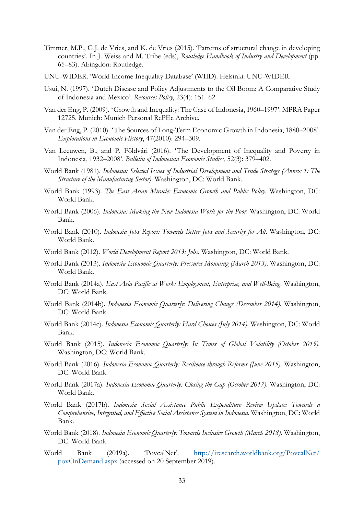- Timmer, M.P., G.J. de Vries, and K. de Vries (2015). 'Patterns of structural change in developing countries'. In J. Weiss and M. Tribe (eds), *Routledge Handbook of Industry and Development* (pp. 65–83). Abingdon: Routledge.
- UNU-WIDER. 'World Income Inequality Database' (WIID). Helsinki: UNU-WIDER.
- Usui, N. (1997). 'Dutch Disease and Policy Adjustments to the Oil Boom: A Comparative Study of Indonesia and Mexico'. *Resources Policy*, 23(4): 151–62.
- Van der Eng, P. (2009). 'Growth and Inequality: The Case of Indonesia, 1960–1997'. MPRA Paper 12725. Munich: Munich Personal RePEc Archive.
- Van der Eng, P. (2010). 'The Sources of Long-Term Economic Growth in Indonesia, 1880–2008'. *Explorations in Economic History*, 47(2010): 294–309.
- Van Leeuwen, B., and P. Földvári (2016). 'The Development of Inequality and Poverty in Indonesia, 1932–2008'. *Bulletin of Indonesian Economic Studies*, 52(3): 379–402.
- World Bank (1981). *Indonesia: Selected Issues of Industrial Development and Trade Strategy (Annex 1: The Structure of the Manufacturing Sector)*. Washington, DC: World Bank.
- World Bank (1993). *The East Asian Miracle: Economic Growth and Public Policy*. Washington, DC: World Bank.
- World Bank (2006). *Indonesia: Making the New Indonesia Work for the Poor*. Washington, DC: World Bank.
- World Bank (2010). *Indonesia Jobs Report: Towards Better Jobs and Security for All*. Washington, DC: World Bank.
- World Bank (2012). *World Development Report 2013: Jobs*. Washington, DC: World Bank.
- World Bank (2013). *Indonesia Economic Quarterly: Pressures Mounting (March 2013)*. Washington, DC: World Bank.
- World Bank (2014a). *East Asia Pacific at Work: Employment, Enterprise, and Well-Being*. Washington, DC: World Bank.
- World Bank (2014b). *Indonesia Economic Quarterly: Delivering Change (December 2014)*. Washington, DC: World Bank.
- World Bank (2014c). *Indonesia Economic Quarterly: Hard Choices (July 2014)*. Washington, DC: World Bank.
- World Bank (2015). *Indonesia Economic Quarterly: In Times of Global Volatility (October 2015)*. Washington, DC: World Bank.
- World Bank (2016). *Indonesia Economic Quarterly: Resilience through Reforms (June 2015)*. Washington, DC: World Bank.
- World Bank (2017a). *Indonesia Economic Quarterly: Closing the Gap (October 2017)*. Washington, DC: World Bank.
- World Bank (2017b). *Indonesia Social Assistance Public Expenditure Review Update: Towards a Comprehensive, Integrated, and Effective Social Assistance System in Indonesia*. Washington, DC: World Bank.
- World Bank (2018). *Indonesia Economic Quarterly: Towards Inclusive Growth (March 2018)*. Washington, DC: World Bank.
- World Bank (2019a). 'PovcalNet'. [http://iresearch.worldbank.org/PovcalNet/](http://iresearch.worldbank.org/PovcalNet/povOnDemand.aspx) [povOnDemand.aspx](http://iresearch.worldbank.org/PovcalNet/povOnDemand.aspx) (accessed on 20 September 2019).